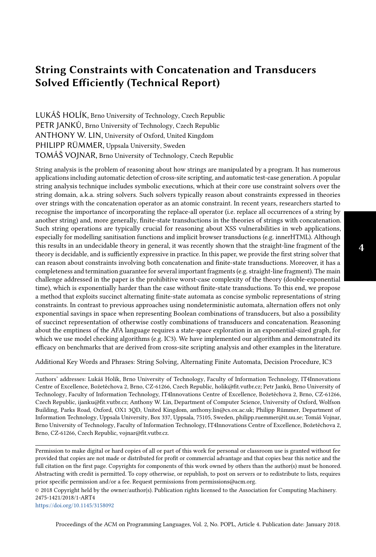# String Constraints with Concatenation and Transducers Solved Efficiently (Technical Report)

LUKÁŠ HOLÍK, Brno University of Technology, Czech Republic PETR JANKŮ, Brno University of Technology, Czech Republic ANTHONY W. LIN, University of Oxford, United Kingdom PHILIPP RÜMMER, Uppsala University, Sweden TOMÁŠ VOJNAR, Brno University of Technology, Czech Republic

String analysis is the problem of reasoning about how strings are manipulated by a program. It has numerous applications including automatic detection of cross-site scripting, and automatic test-case generation. A popular string analysis technique includes symbolic executions, which at their core use constraint solvers over the string domain, a.k.a. string solvers. Such solvers typically reason about constraints expressed in theories over strings with the concatenation operator as an atomic constraint. In recent years, researchers started to recognise the importance of incorporating the replace-all operator (i.e. replace all occurrences of a string by another string) and, more generally, finite-state transductions in the theories of strings with concatenation. Such string operations are typically crucial for reasoning about XSS vulnerabilities in web applications, especially for modelling sanitisation functions and implicit browser transductions (e.g. innerHTML). Although this results in an undecidable theory in general, it was recently shown that the straight-line fragment of the theory is decidable, and is sufficiently expressive in practice. In this paper, we provide the first string solver that can reason about constraints involving both concatenation and finite-state transductions. Moreover, it has a completeness and termination guarantee for several important fragments (e.g. straight-line fragment). The main challenge addressed in the paper is the prohibitive worst-case complexity of the theory (double-exponential time), which is exponentially harder than the case without finite-state transductions. To this end, we propose a method that exploits succinct alternating finite-state automata as concise symbolic representations of string constraints. In contrast to previous approaches using nondeterministic automata, alternation offers not only exponential savings in space when representing Boolean combinations of transducers, but also a possibility of succinct representation of otherwise costly combinations of transducers and concatenation. Reasoning about the emptiness of the AFA language requires a state-space exploration in an exponential-sized graph, for which we use model checking algorithms (e.g. IC3). We have implemented our algorithm and demonstrated its efficacy on benchmarks that are derived from cross-site scripting analysis and other examples in the literature.

Additional Key Words and Phrases: String Solving, Alternating Finite Automata, Decision Procedure, IC3

Authors' addresses: Lukáš Holík, Brno University of Technology, Faculty of Information Technology, IT4Innovations Centre of Excellence, Božetěchova 2, Brno, CZ-61266, Czech Republic, holik@fit.vutbr.cz; Petr Janků, Brno University of Technology, Faculty of Information Technology, IT4Innovations Centre of Excellence, Božetěchova 2, Brno, CZ-61266, Czech Republic, ijanku@fit.vutbr.cz; Anthony W. Lin, Department of Computer Science, University of Oxford, Wolfson Building, Parks Road, Oxford, OX1 3QD, United Kingdom, anthony.lin@cs.ox.ac.uk; Philipp Rümmer, Department of Information Technology, Uppsala University, Box 337, Uppsala, 75105, Sweden, philipp.ruemmer@it.uu.se; Tomáš Vojnar, Brno University of Technology, Faculty of Information Technology, IT4Innovations Centre of Excellence, Božetěchova 2, Brno, CZ-61266, Czech Republic, vojnar@fit.vutbr.cz.

Permission to make digital or hard copies of all or part of this work for personal or classroom use is granted without fee provided that copies are not made or distributed for profit or commercial advantage and that copies bear this notice and the full citation on the first page. Copyrights for components of this work owned by others than the author(s) must be honored. Abstracting with credit is permitted. To copy otherwise, or republish, to post on servers or to redistribute to lists, requires prior specific permission and/or a fee. Request permissions from permissions@acm.org.

© 2018 Copyright held by the owner/author(s). Publication rights licensed to the Association for Computing Machinery. 2475-1421/2018/1-ART4

<https://doi.org/10.1145/3158092>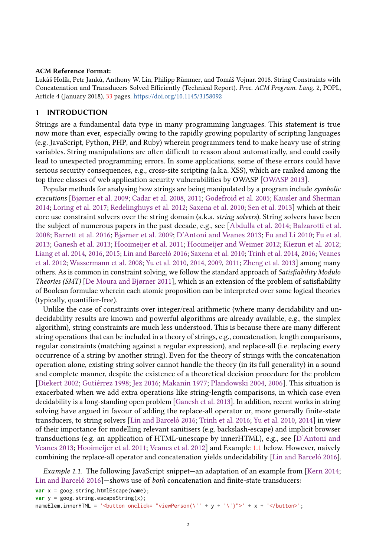#### ACM Reference Format:

Lukáš Holík, Petr Janků, Anthony W. Lin, Philipp Rümmer, and Tomáš Vojnar. 2018. String Constraints with Concatenation and Transducers Solved Efficiently (Technical Report). Proc. ACM Program. Lang. 2, POPL, Article 4 (January 2018), [33](#page-32-0) pages. <https://doi.org/10.1145/3158092>

## 1 INTRODUCTION

Strings are a fundamental data type in many programming languages. This statement is true now more than ever, especially owing to the rapidly growing popularity of scripting languages (e.g. JavaScript, Python, PHP, and Ruby) wherein programmers tend to make heavy use of string variables. String manipulations are often difficult to reason about automatically, and could easily lead to unexpected programming errors. In some applications, some of these errors could have serious security consequences, e.g., cross-site scripting (a.k.a. XSS), which are ranked among the top three classes of web application security vulnerabilities by OWASP [\[OWASP](#page-30-0) [2013\]](#page-30-0).

Popular methods for analysing how strings are being manipulated by a program include symbolic executions [\[Bjørner et al.](#page-28-0) [2009;](#page-28-0) [Cadar et al.](#page-28-1) [2008,](#page-28-1) [2011;](#page-28-2) [Godefroid et al.](#page-29-0) [2005;](#page-29-0) [Kausler and Sherman](#page-29-1) [2014;](#page-29-1) [Loring et al.](#page-30-1) [2017;](#page-30-1) [Redelinghuys et al.](#page-30-2) [2012;](#page-30-2) [Saxena et al.](#page-30-3) [2010;](#page-30-3) [Sen et al.](#page-30-4) [2013\]](#page-30-4) which at their core use constraint solvers over the string domain (a.k.a. string solvers). String solvers have been the subject of numerous papers in the past decade, e.g., see [\[Abdulla et al.](#page-28-3) [2014;](#page-28-3) [Balzarotti et al.](#page-28-4) [2008;](#page-28-4) [Barrett et al.](#page-28-5) [2016;](#page-28-5) [Bjørner et al.](#page-28-0) [2009;](#page-28-0) [D'Antoni and Veanes](#page-29-2) [2013;](#page-29-2) [Fu and Li](#page-29-3) [2010;](#page-29-3) [Fu et al.](#page-29-4) [2013;](#page-29-4) [Ganesh et al.](#page-29-5) [2013;](#page-29-5) [Hooimeijer et al.](#page-29-6) [2011;](#page-29-6) [Hooimeijer and Weimer](#page-29-7) [2012;](#page-29-7) [Kiezun et al.](#page-29-8) [2012;](#page-29-8) [Liang et al.](#page-30-5) [2014,](#page-30-5) [2016,](#page-30-6) [2015;](#page-30-7) [Lin and Barceló](#page-30-8) [2016;](#page-30-8) [Saxena et al.](#page-30-3) [2010;](#page-30-3) [Trinh et al.](#page-30-9) [2014,](#page-30-9) [2016;](#page-30-10) [Veanes](#page-30-11) [et al.](#page-30-11) [2012;](#page-30-11) [Wassermann et al.](#page-31-0) [2008;](#page-31-0) [Yu et al.](#page-31-1) [2010,](#page-31-1) [2014,](#page-31-2) [2009,](#page-31-3) [2011;](#page-31-4) [Zheng et al.](#page-31-5) [2013\]](#page-31-5) among many others. As is common in constraint solving, we follow the standard approach of Satisfiability Modulo Theories (SMT) [\[De Moura and Bjørner](#page-29-9) [2011\]](#page-29-9), which is an extension of the problem of satisfiability of Boolean formulae wherein each atomic proposition can be interpreted over some logical theories (typically, quantifier-free).

Unlike the case of constraints over integer/real arithmetic (where many decidability and undecidability results are known and powerful algorithms are already available, e.g., the simplex algorithm), string constraints are much less understood. This is because there are many different string operations that can be included in a theory of strings, e.g., concatenation, length comparisons, regular constraints (matching against a regular expression), and replace-all (i.e. replacing every occurrence of a string by another string). Even for the theory of strings with the concatenation operation alone, existing string solver cannot handle the theory (in its full generality) in a sound and complete manner, despite the existence of a theoretical decision procedure for the problem [\[Diekert](#page-29-10) [2002;](#page-29-10) [Gutiérrez](#page-29-11) [1998;](#page-29-11) [Jez](#page-29-12) [2016;](#page-29-12) [Makanin](#page-30-12) [1977;](#page-30-12) [Plandowski](#page-30-13) [2004,](#page-30-13) [2006\]](#page-30-14). This situation is exacerbated when we add extra operations like string-length comparisons, in which case even decidability is a long-standing open problem [\[Ganesh et al.](#page-29-5) [2013\]](#page-29-5). In addition, recent works in string solving have argued in favour of adding the replace-all operator or, more generally finite-state transducers, to string solvers [\[Lin and Barceló](#page-30-8) [2016;](#page-30-8) [Trinh et al.](#page-30-10) [2016;](#page-30-10) [Yu et al.](#page-31-1) [2010,](#page-31-1) [2014\]](#page-31-2) in view of their importance for modelling relevant sanitisers (e.g. backslash-escape) and implicit browser transductions (e.g. an application of HTML-unescape by innerHTML), e.g., see [\[D'Antoni and](#page-29-2) [Veanes](#page-29-2) [2013;](#page-29-2) [Hooimeijer et al.](#page-29-6) [2011;](#page-29-6) [Veanes et al.](#page-30-11) [2012\]](#page-30-11) and Example [1.1](#page-1-0) below. However, naively combining the replace-all operator and concatenation yields undecidability [\[Lin and Barceló](#page-30-8) [2016\]](#page-30-8).

<span id="page-1-0"></span>Example 1.1. The following JavaScript snippet—an adaptation of an example from [\[Kern](#page-29-13) [2014;](#page-29-13) [Lin and Barceló](#page-30-8) [2016\]](#page-30-8)—shows use of *both* concatenation and finite-state transducers:

```
var x = goog.string.htmlEscape(name);
var y = goes.string.escapeString(x);
nameElem.innerHTML = '<br/>button onclick= "viewPerson(\'' + y + '\')">' + x + '</button>';
```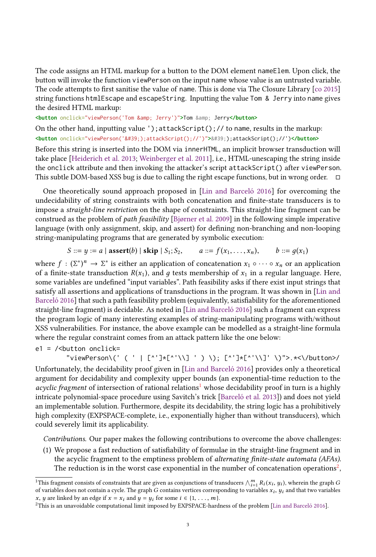The code assigns an HTML markup for a button to the DOM element nameElem. Upon click, the button will invoke the function viewPerson on the input name whose value is an untrusted variable. The code attempts to first sanitise the value of name. This is done via The Closure Library [\[co](#page-29-14) [2015\]](#page-29-14) string functions htmlEscape and escapeString. Inputting the value Tom & Jerry into name gives the desired HTML markup:

**<button** onclick="viewPerson('Tom & Jerry')"**>**Tom **&** Jerry**</button>**

On the other hand, inputting value ');attackScript();// to name, results in the markup:  $\text{Sub}$  onclick="viewPerson('');attackScript();//')">');attackScript();//')</button>

Before this string is inserted into the DOM via innerHTML, an implicit browser transduction will take place [\[Heiderich et al.](#page-29-15) [2013;](#page-29-15) [Weinberger et al.](#page-31-6) [2011\]](#page-31-6), i.e., HTML-unescaping the string inside the onclick attribute and then invoking the attacker's script attackScript() after viewPerson. This subtle DOM-based XSS bug is due to calling the right escape functions, but in wrong order. □

One theoretically sound approach proposed in [\[Lin and Barceló](#page-30-8) [2016\]](#page-30-8) for overcoming the undecidability of string constraints with both concatenation and finite-state transducers is to impose a straight-line restriction on the shape of constraints. This straight-line fragment can be construed as the problem of path feasibility [\[Bjørner et al.](#page-28-0) [2009\]](#page-28-0) in the following simple imperative language (with only assignment, skip, and assert) for defining non-branching and non-looping string-manipulating programs that are generated by symbolic execution:

$$
S ::= y := a | \text{ assert}(b) | \text{skip} | S_1; S_2, \qquad a ::= f(x_1, \ldots, x_n), \qquad b ::= g(x_1)
$$

where  $f : (\Sigma^*)^n \to \Sigma^*$  is either an application of concatenation  $x_1 \circ \cdots \circ x_n$  or an application of a finite-state transduction  $R(x_1)$  and a tests membership of x, in a regular language. Here of a finite-state transduction  $R(x_1)$ , and  $g$  tests membership of  $x_1$  in a regular language. Here,<br>some variables are undefined "input variables". Path feasibility asks if there exist input strings that some variables are undefined "input variables". Path feasibility asks if there exist input strings that satisfy all assertions and applications of transductions in the program. It was shown in [\[Lin and](#page-30-8) [Barceló](#page-30-8) [2016\]](#page-30-8) that such a path feasibility problem (equivalently, satisfiability for the aforementioned straight-line fragment) is decidable. As noted in [\[Lin and Barceló](#page-30-8) [2016\]](#page-30-8) such a fragment can express the program logic of many interesting examples of string-manipulating programs with/without XSS vulnerabilities. For instance, the above example can be modelled as a straight-line formula where the regular constraint comes from an attack pattern like the one below:

 $e1 =$  /<br/>button onclick=

"viewPerson\(' ( ' | [^']\*[^'\\] ' ) \); [^']\*[^'\\]' \)">.\*<\/button>/ Unfortunately, the decidability proof given in [\[Lin and Barceló](#page-30-8) [2016\]](#page-30-8) provides only a theoretical argument for decidability and complexity upper bounds (an exponential-time reduction to the acyclic fragment of intersection of rational relations<sup>[1](#page-2-0)</sup> whose decidability proof in turn is a highly intricate polynomial-space procedure using Savitch's trick [\[Barceló et al.](#page-28-6) [2013\]](#page-28-6)) and does not yield an implementable solution. Furthermore, despite its decidability, the string logic has a prohibitively high complexity (EXPSPACE-complete, i.e., exponentially higher than without transducers), which could severely limit its applicability.

Contributions. Our paper makes the following contributions to overcome the above challenges:

(1) We propose a fast reduction of satisfiability of formulae in the straight-line fragment and in the acyclic fragment to the emptiness problem of alternating finite-state automata (AFAs). The reduction is in the worst case exponential in the number of concatenation operations<sup>[2](#page-2-1)</sup>.

<span id="page-2-0"></span><sup>&</sup>lt;sup>1</sup>This fragment consists of constraints that are given as conjunctions of transducers  $\bigwedge_{i=1}^{m} R_i(x_i, y_i)$ , wherein the graph G<br>of variables does not contain a cycle. The graph G contains vertices corresponding to vari of variables does not contain a cycle. The graph G contains vertices corresponding to variables  $x_i$ ,  $y_i$  and that two variables  $x_i$  and that two variables  $x_i$  and that two variables  $x_i$  and that two variables  $x_i$  an x, y are linked by an edge if  $x = x_i$  and  $y = y_i$  for some  $i \in \{1, \ldots, m\}$ .

<span id="page-2-1"></span><sup>2</sup>This is an unavoidable computational limit imposed by EXPSPACE-hardness of the problem [\[Lin and Barceló](#page-30-8) [2016\]](#page-30-8).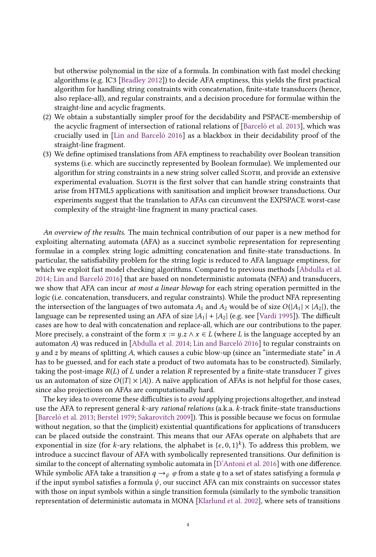but otherwise polynomial in the size of a formula. In combination with fast model checking algorithms (e.g. IC3 [\[Bradley](#page-28-7) [2012\]](#page-28-7)) to decide AFA emptiness, this yields the first practical algorithm for handling string constraints with concatenation, finite-state transducers (hence, also replace-all), and regular constraints, and a decision procedure for formulae within the straight-line and acyclic fragments.

- (2) We obtain a substantially simpler proof for the decidability and PSPACE-membership of the acyclic fragment of intersection of rational relations of [\[Barceló et al.](#page-28-6) [2013\]](#page-28-6), which was crucially used in [\[Lin and Barceló](#page-30-8) [2016\]](#page-30-8) as a blackbox in their decidability proof of the straight-line fragment.
- (3) We define optimised translations from AFA emptiness to reachability over Boolean transition systems (i.e. which are succinctly represented by Boolean formulae). We implemented our algorithm for string constraints in a new string solver called SLOTH, and provide an extensive experimental evaluation. SLOTH is the first solver that can handle string constraints that arise from HTML5 applications with sanitisation and implicit browser transductions. Our experiments suggest that the translation to AFAs can circumvent the EXPSPACE worst-case complexity of the straight-line fragment in many practical cases.

An overview of the results. The main technical contribution of our paper is a new method for exploiting alternating automata (AFA) as a succinct symbolic representation for representing formulae in a complex string logic admitting concatenation and finite-state transductions. In particular, the satisfiability problem for the string logic is reduced to AFA language emptiness, for which we exploit fast model checking algorithms. Compared to previous methods [\[Abdulla et al.](#page-28-3) [2014;](#page-28-3) [Lin and Barceló](#page-30-8) [2016\]](#page-30-8) that are based on nondeterministic automata (NFA) and transducers, we show that AFA can incur at most a linear blowup for each string operation permitted in the logic (i.e. concatenation, transducers, and regular constraints). While the product NFA representing the intersection of the languages of two automata  $A_1$  and  $A_2$  would be of size  $O(|A_1| \times |A_2|)$ , the language can be represented using an AFA of size  $|A_1| + |A_2|$  (e.g. see [\[Vardi](#page-30-15) [1995\]](#page-30-15)). The difficult cases are how to deal with concatenation and replace-all, which are our contributions to the paper. More precisely, a constraint of the form  $x := y.z \land x \in L$  (where L is the language accepted by an automaton A) was reduced in [\[Abdulla et al.](#page-28-3) [2014;](#page-28-3) [Lin and Barceló](#page-30-8) [2016\]](#page-30-8) to regular constraints on  $y$  and z by means of splitting A, which causes a cubic blow-up (since an "intermediate state" in A has to be guessed, and for each state a product of two automata has to be constructed). Similarly, taking the post-image  $R(L)$  of L under a relation R represented by a finite-state transducer T gives us an automaton of size  $O(|T| \times |A|)$ . A naïve application of AFAs is not helpful for those cases, since also projections on AFAs are computationally hard.

The key idea to overcome these difficulties is to *avoid* applying projections altogether, and instead use the AFA to represent general k-ary rational relations (a.k.a. k-track finite-state transductions [\[Barceló et al.](#page-28-6) [2013;](#page-28-6) [Berstel](#page-28-8) [1979;](#page-28-8) [Sakarovitch](#page-30-16) [2009\]](#page-30-16)). This is possible because we focus on formulae without negation, so that the (implicit) existential quantifications for applications of transducers can be placed outside the constraint. This means that our AFAs operate on alphabets that are exponential in size (for k-ary relations, the alphabet is  $\{\epsilon, 0, 1\}^k$ ). To address this problem, we introduce a succinct flavour of AEA with symbolically represented transitions. Our definition is introduce a succinct flavour of AFA with symbolically represented transitions. Our definition is similar to the concept of alternating symbolic automata in [\[D'Antoni et al.](#page-29-16) [2016\]](#page-29-16) with one difference. While symbolic AFA take a transition  $q \rightarrow \psi \varphi$  from a state q to a set of states satisfying a formula  $\varphi$ if the input symbol satisfies a formula  $\psi$ , our succinct AFA can mix constraints on successor states with those on input symbols within a single transition formula (similarly to the symbolic transition representation of deterministic automata in MONA [\[Klarlund et al.](#page-29-17) [2002\]](#page-29-17), where sets of transitions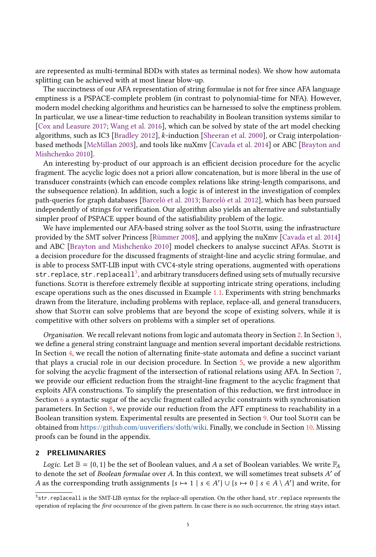are represented as multi-terminal BDDs with states as terminal nodes). We show how automata splitting can be achieved with at most linear blow-up.

The succinctness of our AFA representation of string formulae is not for free since AFA language emptiness is a PSPACE-complete problem (in contrast to polynomial-time for NFA). However, modern model checking algorithms and heuristics can be harnessed to solve the emptiness problem. In particular, we use a linear-time reduction to reachability in Boolean transition systems similar to [\[Cox and Leasure](#page-29-18) [2017;](#page-29-18) [Wang et al.](#page-30-17) [2016\]](#page-30-17), which can be solved by state of the art model checking algorithms, such as IC3 [\[Bradley](#page-28-7) [2012\]](#page-28-7), k-induction [\[Sheeran et al.](#page-30-18) [2000\]](#page-30-18), or Craig interpolationbased methods [\[McMillan](#page-30-19) [2003\]](#page-30-19), and tools like nuXmv [\[Cavada et al.](#page-29-19) [2014\]](#page-29-19) or ABC [\[Brayton and](#page-28-9) [Mishchenko](#page-28-9) [2010\]](#page-28-9).

An interesting by-product of our approach is an efficient decision procedure for the acyclic fragment. The acyclic logic does not a priori allow concatenation, but is more liberal in the use of transducer constraints (which can encode complex relations like string-length comparisons, and the subsequence relation). In addition, such a logic is of interest in the investigation of complex path-queries for graph databases [\[Barceló et al.](#page-28-6) [2013;](#page-28-6) [Barceló et al.](#page-28-10) [2012\]](#page-28-10), which has been pursued independently of strings for verification. Our algorithm also yields an alternative and substantially simpler proof of PSPACE upper bound of the satisfiability problem of the logic.

We have implemented our AFA-based string solver as the tool SLOTH, using the infrastructure provided by the SMT solver Princess [\[Rümmer](#page-30-20) [2008\]](#page-30-20), and applying the nuXmv [\[Cavada et al.](#page-29-19) [2014\]](#page-29-19) and ABC [\[Brayton and Mishchenko](#page-28-9) [2010\]](#page-28-9) model checkers to analyse succinct AFAs. SLOTH is a decision procedure for the discussed fragments of straight-line and acyclic string formulae, and is able to process SMT-LIB input with CVC4-style string operations, augmented with operations str.replace, str.replaceall<sup>[3](#page-4-0)</sup>, and arbitrary transducers defined using sets of mutually recursive functions. Sloth is therefore extremely flexible at supporting intricate string operations, including escape operations such as the ones discussed in Example [1.1.](#page-1-0) Experiments with string benchmarks drawn from the literature, including problems with replace, replace-all, and general transducers, show that SLOTH can solve problems that are beyond the scope of existing solvers, while it is competitive with other solvers on problems with a simpler set of operations.

Organisation. We recall relevant notions from logic and automata theory in Section [2.](#page-4-1) In Section [3,](#page-5-0) we define a general string constraint language and mention several important decidable restrictions. In Section [4,](#page-7-0) we recall the notion of alternating finite-state automata and define a succinct variant that plays a crucial role in our decision procedure. In Section [5,](#page-11-0) we provide a new algorithm for solving the acyclic fragment of the intersection of rational relations using AFA. In Section [7,](#page-16-0) we provide our efficient reduction from the straight-line fragment to the acyclic fragment that exploits AFA constructions. To simplify the presentation of this reduction, we first introduce in Section [6](#page-14-0) a syntactic sugar of the acyclic fragment called acyclic constraints with synchronisation parameters. In Section [8,](#page-20-0) we provide our reduction from the AFT emptiness to reachability in a Boolean transition system. Experimental results are presented in Section [9.](#page-25-0) Our tool SLOTH can be obtained from [https://github.com/uuverifiers/sloth/wiki.](https://github.com/uuverifiers/sloth/wiki) Finally, we conclude in Section [10.](#page-27-0) Missing proofs can be found in the appendix.

#### <span id="page-4-1"></span>2 PRELIMINARIES

*Logic.* Let  $\mathbb{B} = \{0, 1\}$  be the set of Boolean values, and A a set of Boolean variables. We write  $\mathbb{F}_A$ to denote the set of *Boolean formulae* over A. In this context, we will sometimes treat subsets A' of  $A$  as the corresponding truth assignments  $\{s \mapsto 1 | s \in A' \}$   $\{1 | s \in A' \}$  and write for A as the corresponding truth assignments  $\{s \mapsto 1 \mid s \in A'\} \cup \{s \mapsto 0 \mid s \in A \setminus A'\}$  and write, for

<span id="page-4-0"></span><sup>3</sup>str.replaceall is the SMT-LIB syntax for the replace-all operation. On the other hand, str.replace represents the operation of replacing the first occurrence of the given pattern. In case there is no such occurrence, the string stays intact.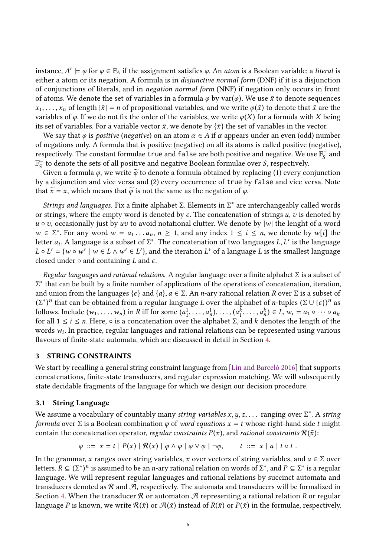instance,  $A' \models \varphi$  for  $\varphi \in \mathbb{F}_A$  if the assignment satisfies  $\varphi$ . An *atom* is a Boolean variable; a *literal* is ejection a formula is in *disjunctive normal form* (DNF) if it is a disjunction either a atom or its negation. A formula is in disjunctive normal form (DNF) if it is a disjunction of conjunctions of literals, and in negation normal form (NNF) if negation only occurs in front of atoms. We denote the set of variables in a formula  $\varphi$  by var( $\varphi$ ). We use  $\bar{x}$  to denote sequences  $x_1, \ldots, x_n$  of length  $|\bar{x}| = n$  of propositional variables, and we write  $\varphi(\bar{x})$  to denote that  $\bar{x}$  are the variables of  $\varphi$ . If we do not fix the order of the variables, we write  $\varphi(X)$  for a formula with X being its set of variables. For a variable vector  $\bar{x}$ , we denote by  $\{\bar{x}\}\$  the set of variables in the vector.

We say that  $\varphi$  is *positive* (*negative*) on an atom  $\alpha \in A$  if  $\alpha$  appears under an even (odd) number of negations only. A formula that is positive (negative) on all its atoms is called positive (negative), respectively. The constant formulae true and false are both positive and negative. We use  $\mathbb{F}^{\text{+}}_{\text{S}}$  and  $\mathbb{F}_S^-$  to denote the sets of all positive and negative Boolean formulae over S, respectively.<br>Given a formula  $\alpha$  we write  $\tilde{\alpha}$  to denote a formula obtained by replacing (1) every co

Given a formula  $\varphi$ , we write  $\tilde{\varphi}$  to denote a formula obtained by replacing (1) every conjunction by a disjunction and vice versa and (2) every occurrence of true by false and vice versa. Note that  $\tilde{x} = x$ , which means that  $\tilde{\varphi}$  is not the same as the negation of  $\varphi$ .

Strings and languages. Fix a finite alphabet Σ. Elements in  $\Sigma^*$  are interchangeably called words extrings where the empty word is denoted by  $\epsilon$ . The concatenation of strings u zi is denoted by or strings, where the empty word is denoted by  $\epsilon$ . The concatenation of strings u, v is denoted by  $u \circ v$ , occasionally just by uv to avoid notational clutter. We denote by  $|w|$  the lenght of a word  $w \in \Sigma^*$ . For any word  $w = a_1 \dots a_n$ ,  $n \ge 1$ , and any index  $1 \le i \le n$ , we denote by w[i] the language is a subset of  $\Sigma^*$ . The concatenation of two languages *I I'* is the language letter  $a_i$ . A language is a subset of  $\Sigma^*$ . The concatenation of two languages L, L' is the language  $I \circ I' = Iw \circ w' \mid w \in I \wedge w' \in I'$  and the iteration  $I^*$  of a language L is the smallest language  $L \circ L' = \{w \circ w' \mid w \in L \wedge w' \in L'\}$ , and the iteration  $L^*$  of a language L is the smallest language closed under a and containing L and  $\epsilon$ closed under  $\circ$  and containing L and  $\epsilon$ .

Regular languages and rational relations. A regular language over a finite alphabet  $\Sigma$  is a subset of and union from the languages { $\epsilon$ } and {a},  $a \in \Sigma$ . An n-ary rational relation R over  $\Sigma$  is a subset of  $(S^*)^n$  that can be obtained from a regular language L over the alphabet of n-tuples  $(S \cup \{k\})^n$  as ∗ that can be built by a finite number of applications of the operations of concatenation, iteration, follows. Include  $(w_1, \ldots, w_n)$  in R iff for some  $(a_1^1, \ldots, a_n^1), \ldots, (a_1^k, \ldots, a_n^k) \in L$ ,  $w_i = a_1 \circ \cdots \circ a_k$ <br>for all  $1 \le i \le n$ . Here  $\circ$  is a concatenation over the alphabet  $\Sigma$  and k denotes the length of the <sup>\*</sup>)<sup>n</sup> that can be obtained from a regular language L over the alphabet of *n*-tuples  $(\Sigma \cup {\epsilon})^n$  as<br>lows Include  $(w_i, \ldots, w_i)$  in *R* iff for some  $(a^1, \ldots, a^k) \in I, w_i = a, 0, \ldots, 0, a$ . for all  $1 \le i \le n$ . Here,  $\circ$  is a concatenation over the alphabet  $\Sigma$ , and k denotes the length of the words  $w_i$ . In practice, regular languages and rational relations can be represented using various words  $w_i$ . In practice, regular languages and rational relations can be represented using various flavours of finite-state automata, which are discussed in detail in Section 4. flavours of finite-state automata, which are discussed in detail in Section [4.](#page-7-0)

## <span id="page-5-0"></span>3 STRING CONSTRAINTS

We start by recalling a general string constraint language from [\[Lin and Barceló](#page-30-8) [2016\]](#page-30-8) that supports concatenations, finite-state transducers, and regular expression matching. We will subsequently state decidable fragments of the language for which we design our decision procedure.

## 3.1 String Language

We assume a vocabulary of countably many *string variables x, y, z, ...* ranging over  $\Sigma^*$ . A *string* formula over  $\Sigma$  is a Boolean combination  $\omega$  of *word equations x – t* whose right-hand side t might formula over  $\Sigma$  is a Boolean combination  $\varphi$  of word equations  $x = t$  whose right-hand side t might contain the concatenation operator, *regular constraints*  $P(x)$ , and *rational constraints*  $R(\bar{x})$ :

$$
\varphi \ ::= x = t \mid P(x) \mid \mathcal{R}(\bar{x}) \mid \varphi \wedge \varphi \mid \varphi \vee \varphi \mid \neg \varphi, \qquad t \ ::= x \mid a \mid t \circ t \ .
$$

In the grammar, x ranges over string variables,  $\bar{x}$  over vectors of string variables, and  $a \in \Sigma$  over letters.  $R \subseteq (\Sigma^*)^n$  is assumed to be an *n*-ary rational relation on words of  $\Sigma^*$ , and  $P \subseteq \Sigma^*$  is a regular language. We will represent regular languages and rational relations by succinct automata and  $\sum_{i=1}^{\infty}$  ) is accurated by constraint and relations of the state  $\sum_{i=1}^{\infty}$  and  $\sum_{i=1}^{\infty}$  and  $\sum_{i=1}^{\infty}$  and  $\sum_{i=1}^{\infty}$  and  $\sum_{i=1}^{\infty}$  and relations by succinct automata and transducers denoted as  $R$  and  $R$ , respectively. The automata and transducers will be formalized in Section [4.](#page-7-0) When the transducer  $\mathcal R$  or automaton  $\mathcal A$  representing a rational relation R or regular language P is known, we write  $\mathcal{R}(\bar{x})$  or  $\mathcal{A}(\bar{x})$  instead of  $R(\bar{x})$  or  $P(\bar{x})$  in the formulae, respectively.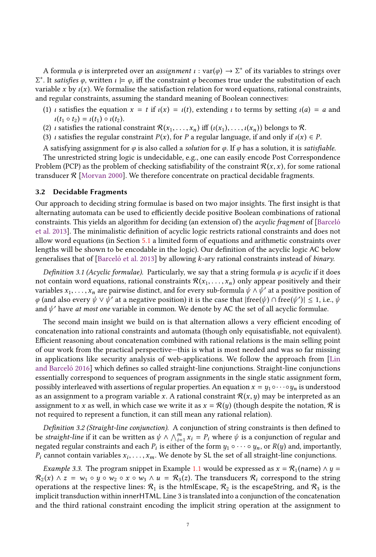A formula  $\varphi$  is interpreted over an *assignment*  $\iota : var(\varphi) \to \Sigma^*$  of its variables to strings over<br>It satisfies  $\varphi$  written  $\iota \models \varphi$  iff the constraint  $\varphi$  becomes true under the substitution of each variable x by  $\iota(x)$ . We formalise the satisfaction relation for word equations, rational constraints, <sup>\*</sup>. It *satisfies* φ, written  $\iota \models \varphi$ , iff the constraint φ becomes true under the substitution of each prichle x by  $\iota(x)$ . We formalise the satisfaction relation for word equations, rational constraints and regular constraints, assuming the standard meaning of Boolean connectives:

- (1) *ι* satisfies the equation  $x = t$  if  $\iota(x) = \iota(t)$ , extending  $\iota$  to terms by setting  $\iota(a) = a$  and  $\iota(t_1 \circ t_2) = \iota(t_1) \circ \iota(t_2).$
- (2) *ι* satisfies the rational constraint  $\mathcal{R}(x_1, \ldots, x_n)$  iff  $(\iota(x_1), \ldots, \iota(x_n))$  belongs to  $\mathcal{R}$ .
- (3) *ι* satisfies the regular constraint  $P(x)$ , for P a regular language, if and only if  $\iota(x) \in P$ .

A satisfying assignment for  $\varphi$  is also called a *solution* for  $\varphi$ . If  $\varphi$  has a solution, it is *satisfiable*. The unrestricted string logic is undecidable, e.g., one can easily encode Post Correspondence Problem (PCP) as the problem of checking satisfiability of the constraint  $\mathcal{R}(x, x)$ , for some rational transducer  $\mathcal{R}$  [\[Morvan](#page-30-21) [2000\]](#page-30-21). We therefore concentrate on practical decidable fragments.

## 3.2 Decidable Fragments

Our approach to deciding string formulae is based on two major insights. The first insight is that alternating automata can be used to efficiently decide positive Boolean combinations of rational constraints. This yields an algorithm for deciding (an extension of) the acyclic fragment of [\[Barceló](#page-28-6) [et al.](#page-28-6) [2013\]](#page-28-6). The minimalistic definition of acyclic logic restricts rational constraints and does not allow word equations (in Section [5.1](#page-13-0) a limited form of equations and arithmetic constraints over lengths will be shown to be encodable in the logic). Our definition of the acyclic logic AC below generalises that of [\[Barceló et al.](#page-28-6) [2013\]](#page-28-6) by allowing k-ary rational constraints instead of binary.

Definition 3.1 (Acyclic formulae). Particularly, we say that a string formula  $\varphi$  is acyclic if it does not contain word equations, rational constraints  $\mathcal{R}(x_1, \ldots, x_n)$  only appear positively and their variables  $x_1, \ldots, x_n$  are pairwise distinct, and for every sub-formula  $\psi \wedge \psi'$  at a positive position of  $φ$  (and also every  $ψ ∨ ψ'$  at a negative position) it is the case that  $|free(ψ) ∩ free(ψ')| ≤ 1$ , i.e.,  $ψ$ <br>and  $ψ'$  have at most one variable in common. We denote by AC the set of all acyclic formulae and  $\psi'$  have at most one variable in common. We denote by AC the set of all acyclic formulae.

The second main insight we build on is that alternation allows a very efficient encoding of concatenation into rational constraints and automata (though only equisatisfiable, not equivalent). Efficient reasoning about concatenation combined with rational relations is the main selling point of our work from the practical perspective—this is what is most needed and was so far missing in applications like security analysis of web-applications. We follow the approach from [\[Lin](#page-30-8) [and Barceló](#page-30-8) [2016\]](#page-30-8) which defines so called straight-line conjunctions. Straight-line conjunctions essentially correspond to sequences of program assignments in the single static assignment form, possibly interleaved with assertions of regular properties. An equation  $x = y_1 ∘···∘y_n$  is understood as an assignment to a program variable x. A rational constraint  $\mathcal{R}(x, y)$  may be interpreted as an assignment to x as well, in which case we write it as  $x = \mathcal{R}(y)$  (though despite the notation,  $\mathcal R$  is not required to represent a function, it can still mean any rational relation).

Definition 3.2 (Straight-line conjunction). A conjunction of string constraints is then defined to be *straight-line* if it can be written as  $\psi \wedge \bigwedge_{i=1}^{m} x_i = P_i$  where  $\psi$  is a conjunction of regular and regular constraints and each  $P_i$  is either of the form  $u_i \circ \cdots \circ u_j$  or  $R(u)$  and importantly negated regular constraints and each  $P_i$  is either of the form  $y_1 \circ \cdots \circ y_n$ , or  $R(y)$  and, importantly,  $P_i$  cannot contain variables  $x_i$ .  $P_i$  cannot contain variables  $x_i, \ldots, x_m$ . We denote by SL the set of all straight-line conjunctions.

<span id="page-6-0"></span>*Example 3.3.* The program snippet in Example [1.1](#page-1-0) would be expressed as  $x = \mathcal{R}_1$  (name)  $\wedge y =$  $\mathcal{R}_2(x) \wedge z = w_1 \circ y \circ w_2 \circ x \circ w_3 \wedge u = \mathcal{R}_3(z)$ . The transducers  $\mathcal{R}_i$  correspond to the string operations at the respective lines:  $\mathcal{R}_1$  is the htmlEscape,  $\mathcal{R}_2$  is the escapeString, and  $\mathcal{R}_3$  is the implicit transduction within innerHTML. Line 3 is translated into a conjunction of the concatenation and the third rational constraint encoding the implicit string operation at the assignment to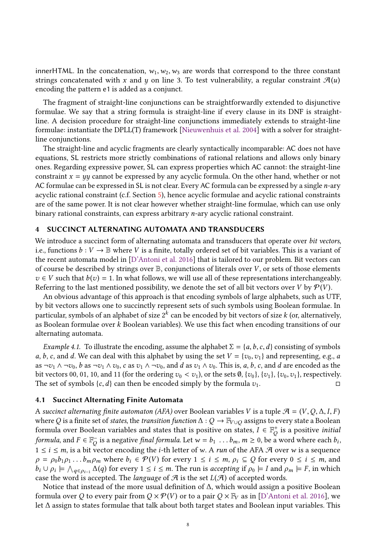innerHTML. In the concatenation,  $w_1, w_2, w_3$  are words that correspond to the three constant strings concatenated with x and y on line 3. To test vulnerability, a regular constraint  $\mathcal{A}(u)$ encoding the pattern e1 is added as a conjunct.

The fragment of straight-line conjunctions can be straightforwardly extended to disjunctive formulae. We say that a string formula is straight-line if every clause in its DNF is straightline. A decision procedure for straight-line conjunctions immediately extends to straight-line formulae: instantiate the DPLL(T) framework [\[Nieuwenhuis et al.](#page-30-22) [2004\]](#page-30-22) with a solver for straightline conjunctions.

The straight-line and acyclic fragments are clearly syntactically incomparable: AC does not have equations, SL restricts more strictly combinations of rational relations and allows only binary ones. Regarding expressive power, SL can express properties which AC cannot: the straight-line constraint  $x = yy$  cannot be expressed by any acyclic formula. On the other hand, whether or not AC formulae can be expressed in SL is not clear. Every AC formula can be expressed by a single n-ary acyclic rational constraint (c.f. Section [5\)](#page-11-0), hence acyclic formulae and acyclic rational constraints are of the same power. It is not clear however whether straight-line formulae, which can use only binary rational constraints, can express arbitrary n-ary acyclic rational constraint.

## <span id="page-7-0"></span>4 SUCCINCT ALTERNATING AUTOMATA AND TRANSDUCERS

We introduce a succinct form of alternating automata and transducers that operate over bit vectors, i.e., functions  $b: V \to \mathbb{B}$  where V is a finite, totally ordered set of bit variables. This is a variant of the recent automata model in [\[D'Antoni et al.](#page-29-16) [2016\]](#page-29-16) that is tailored to our problem. Bit vectors can of course be described by strings over  $\mathbb B$ , conjunctions of literals over V, or sets of those elements  $v \in V$  such that  $b(v) = 1$ . In what follows, we will use all of these representations interchangeably. Referring to the last mentioned possibility, we denote the set of all bit vectors over V by  $\mathcal{P}(V)$ .

An obvious advantage of this approach is that encoding symbols of large alphabets, such as UTF, by bit vectors allows one to succinctly represent sets of such symbols using Boolean formulae. In particular, symbols of an alphabet of size  $2^k$  can be encoded by bit vectors of size  $k$  (or, alternatively,<br>as Boolean formulae over  $k$  Boolean variables). We use this fact when encoding transitions of our as Boolean formulae over k Boolean variables). We use this fact when encoding transitions of our alternating automata.

<span id="page-7-1"></span>*Example 4.1.* To illustrate the encoding, assume the alphabet  $\Sigma = \{a, b, c, d\}$  consisting of symbols a, b, c, and d. We can deal with this alphabet by using the set  $V = \{v_0, v_1\}$  and representing, e.g., a as  $\neg v_1 \wedge \neg v_0$ , b as  $\neg v_1 \wedge v_0$ , c as  $v_1 \wedge \neg v_0$ , and d as  $v_1 \wedge v_0$ . This is, a, b, c, and d are encoded as the bit vectors 00, 01, 10, and 11 (for the ordering  $v_0 < v_1$ ), or the sets  $\emptyset$ ,  $\{v_0\}$ ,  $\{v_1\}$ ,  $\{v_0, v_1\}$ , respectively.<br>The set of symbols  $\{c, d\}$  can then be encoded simply by the formula  $v_1$ . The set of symbols  $\{c, d\}$  can then be encoded simply by the formula  $v_1$ .

## 4.1 Succinct Alternating Finite Automata

A succinct alternating finite automaton (AFA) over Boolean variables V is a tuple  $\mathcal{A} = (V, Q, \Delta, I, F)$ where Q is a finite set of states, the transition function  $\Delta: Q \to \mathbb{F}_{V \cup Q}$  assigns to every state a Boolean formula over Boolean variables and states that is positive on states,  $I \in \mathbb{F}_Q^+$  is a positive *initial*<br>formula and  $E \subseteq \mathbb{F}_q^-$  is a positive final formula Let  $\cup_{p \in \mathbb{F}_q} h = \emptyset$ ,  $h \in \mathbb{F}_Q$  word where each h formula, and  $F \in \mathbb{F}_Q^-$  is a negative final formula. Let  $w = b_1 \dots b_m$ ,  $m \ge 0$ , be a word where each  $b_i$ ,  $1 \le i \le m$  is a bit vector encoding the *i*th letter of  $w$ ,  $\Delta$  run of the  $\Delta FA$ ,  $\mathcal{A}$  over wis a sequence  $1 \le i \le m$ , is a bit vector encoding the *i*-th letter of w. A *run* of the AFA  $\mathcal A$  over w is a sequence  $0 \le k \le m$ , where  $h \in \mathcal P(V)$  for every  $1 \le i \le m$ ,  $0 \le O$  for every  $0 \le i \le m$ , and  $\rho = \rho_0 b_1 \rho_1 \dots b_m \rho_m$  where  $b_i \in \mathcal{P}(V)$  for every  $1 \le i \le m$ ,  $\rho_i \subseteq Q$  for every  $0 \le i \le m$ , and  $b_i \cup \rho_i \models \bigwedge_{q \in \rho_{i-1}} \Delta(q)$  for every  $1 \leq i \leq m$ . The run is accepting if  $\rho_0 \models I$  and  $\rho_m \models F$ , in which case the word is accepted. The *language* of  $\mathcal A$  is the set  $L(\mathcal A)$  of accepted words.

Notice that instead of the more usual definition of ∆, which would assign a positive Boolean formula over Q to every pair from  $Q \times \mathcal{P}(V)$  or to a pair  $Q \times \mathbb{F}_V$  as in [\[D'Antoni et al.](#page-29-16) [2016\]](#page-29-16), we let ∆ assign to states formulae that talk about both target states and Boolean input variables. This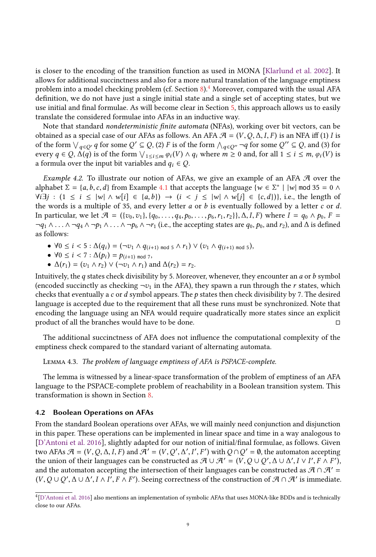is closer to the encoding of the transition function as used in MONA [\[Klarlund et al.](#page-29-17) [2002\]](#page-29-17). It allows for additional succinctness and also for a more natural translation of the language emptiness problem into a model checking problem (cf. Section  $8$ ).<sup>[4](#page-8-0)</sup> Moreover, compared with the usual AFA definition, we do not have just a single initial state and a single set of accepting states, but we use initial and final formulae. As will become clear in Section [5,](#page-11-0) this approach allows us to easily translate the considered formulae into AFAs in an inductive way.

Note that standard nondeterministic finite automata (NFAs), working over bit vectors, can be obtained as a special case of our AFAs as follows. An AFA  $\mathcal{A} = (V, Q, \Delta, I, F)$  is an NFA iff (1) *I* is of the form  $\bigvee_{q \in Q'} q$  for some  $Q' \subseteq Q$ , (2) F is of the form  $\bigwedge_{q \in Q''} \neg q$  for some  $Q'' \subseteq Q$ , and (3) for every  $q \in Q$ .  $\bigwedge(q)$  is of the form  $\bigvee_{q \in Q'} (V) \wedge q$ , where  $m > 0$  and for all  $1 \le i \le m$ ,  $q_1(V)$  is every  $q \in Q$ ,  $\Delta(q)$  is of the form  $\bigvee_{1 \leq i \leq m} \varphi_i(V) \wedge q_i$  where  $m \geq 0$  and, for all  $1 \leq i \leq m$ ,  $\varphi_i(V)$  is a formula over the input bit variables and  $q_i \in Q$ .

<span id="page-8-1"></span>*Example 4.2.* To illustrate our notion of AFAs, we give an example of an AFA  $\mathcal A$  over the alphabet  $\Sigma = \{a, b, c, d\}$  from Example [4.1](#page-7-1) that accepts the language  $\{w \in \Sigma^* \mid |w| \mod 35 = 0 \land y \neq 0\}$  $\forall i \exists j : (1 \le i \le |w| \land w[i] \in \{a, b\}) \rightarrow (i \le j \le |w| \land w[j] \in \{c, d\})\}$ , i.e., the length of the words is a multiple of 35, and every letter  $a$  or  $b$  is eventually followed by a letter  $c$  or  $d$ . In particular, we let  $\mathcal{A} = (\{v_0, v_1\}, \{q_0, \ldots, q_4, p_0, \ldots, p_6, r_1, r_2\}), \Delta, I, F)$  where  $I = q_0 \wedge p_0, F =$  $\neg q_1 \wedge \ldots \wedge \neg q_4 \wedge \neg p_1 \wedge \ldots \wedge \neg p_6 \wedge \neg r_1$  (i.e., the accepting states are  $q_0, p_0$ , and  $r_2$ ), and  $\Delta$  is defined as follows:

- $\forall 0 \leq i < 5 : \Delta(q_i) = (\neg v_1 \wedge q_{(i+1) \mod 5} \wedge r_1) \vee (v_1 \wedge q_{(i+1) \mod 5}),$
- $\forall 0 \le i < 7 : \Delta(p_i) = p_{(i+1) \mod 7}$ <br>•  $\Delta(r_i) = (r_i, \Delta(r_i)) \vee (\neg r_i, \Delta(r_i))$
- $\Delta(r_1) = (v_1 \wedge r_2) \vee (\neg v_1 \wedge r_1)$  and  $\Delta(r_2) = r_2$ .

Intuitively, the q states check divisibility by 5. Moreover, whenever, they encounter an  $a$  or  $b$  symbol (encoded succinctly as checking  $\neg v_1$  in the AFA), they spawn a run through the r states, which checks that eventually a c or d symbol appears. The p states then check divisibility by 7. The desired language is accepted due to the requirement that all these runs must be synchronized. Note that encoding the language using an NFA would require quadratically more states since an explicit product of all the branches would have to be done.  $□$ 

The additional succinctness of AFA does not influence the computational complexity of the emptiness check compared to the standard variant of alternating automata.

Lemma 4.3. The problem of language emptiness of AFA is PSPACE-complete.

The lemma is witnessed by a linear-space transformation of the problem of emptiness of an AFA language to the PSPACE-complete problem of reachability in a Boolean transition system. This transformation is shown in Section [8.](#page-20-0)

## <span id="page-8-2"></span>4.2 Boolean Operations on AFAs

From the standard Boolean operations over AFAs, we will mainly need conjunction and disjunction in this paper. These operations can be implemented in linear space and time in a way analogous to [\[D'Antoni et al.](#page-29-16) [2016\]](#page-29-16), slightly adapted for our notion of initial/final formulae, as follows. Given two AFAs  $\mathcal{A} = (V, Q, \Delta, I, F)$  and  $\mathcal{A}' = (V, Q', \Delta', I', F')$  with  $Q \cap Q' = \emptyset$ , the automaton accepting<br>the union of their languages can be constructed as  $\mathcal{A} \cup \mathcal{A}' = (V, Q) \cup Q' \land \cup \wedge' I \lor I' \in \wedge F'$ the union of their languages can be constructed as  $\mathcal{A} \cup \mathcal{A}' = (V, Q \cup Q', \Delta \cup \Delta', I \vee I', F \wedge F')$ ,<br>and the automaton accenting the intersection of their languages can be constructed as  $\mathcal{A} \cap \mathcal{A}'$ . and the automaton accepting the intersection of their languages can be constructed as  $\mathcal{A} \cap \mathcal{A}' =$  $(V, Q \cup Q', \Delta \cup \Delta', I \wedge I', F \wedge F')$ . Seeing correctness of the construction of  $\mathcal{A} \cap \mathcal{A}'$  is immediate.

<span id="page-8-0"></span><sup>4</sup> [\[D'Antoni et al.](#page-29-16) [2016\]](#page-29-16) also mentions an implementation of symbolic AFAs that uses MONA-like BDDs and is technically close to our AFAs.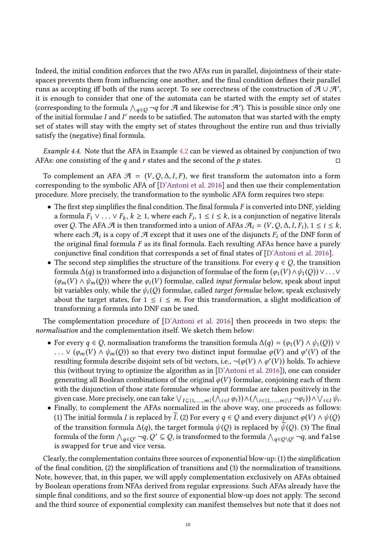Indeed, the initial condition enforces that the two AFAs run in parallel, disjointness of their statespaces prevents them from influencing one another, and the final condition defines their parallel runs as accepting iff both of the runs accept. To see correctness of the construction of  $\mathcal{A} \cup \mathcal{A}'$ , it is enough to consider that one of the automata can be started with the empty set of states (corresponding to the formula  $\bigwedge_{q \in Q} \neg q$  for A and likewise for A'). This is possible since only one of the initial formulae L and I' needs to be satisfied. The automaton that was started with the empty of the initial formulae I and I' needs to be satisfied. The automaton that was started with the empty<br>set of states will stay with the empty set of states throughout the entire run and thus trivially set of states will stay with the empty set of states throughout the entire run and thus trivially satisfy the (negative) final formula.

Example 4.4. Note that the AFA in Example [4.2](#page-8-1) can be viewed as obtained by conjunction of two AFAs: one consisting of the q and r states and the second of the p states.  $\Box$ 

To complement an AFA  $\mathcal{A} = (V, Q, \Delta, I, F)$ , we first transform the automaton into a form corresponding to the symbolic AFA of [\[D'Antoni et al.](#page-29-16) [2016\]](#page-29-16) and then use their complementation procedure. More precisely, the transformation to the symbolic AFA form requires two steps:

- $\bullet$  The first step simplifies the final condition. The final formula F is converted into DNF, yielding a formula  $\overline{F_1} \vee \ldots \vee F_k$ ,  $k \ge 1$ , where each  $F_i$ ,  $1 \le i \le k$ , is a conjunction of negative literals over  $\Omega$ . The AEA  $\mathcal{A}$  is then transformed into a union of AEAs  $\mathcal{A}_i = (V, \Omega, \Lambda, I, F_i)$ ,  $1 \le i \le k$ over Q. The AFA  $\mathcal A$  is then transformed into a union of AFAs  $\mathcal A_i = (V, Q, \Delta, I, \overline{F_i})$ ,  $1 \le i \le k$ ,<br>where each  $\mathcal A_i$  is a conv of  $\mathcal A$  except that it uses one of the disjuncts  $F_i$  of the DNF form of where each  $\mathcal{A}_i$  is a copy of  $\mathcal A$  except that it uses one of the disjuncts  $F_i$  of the DNF form of the original final formula  $F$  as its final formula. Each resulting AFAs hence have a purely the original final formula  $F$  as its final formula. Each resulting AFAs hence have a purely conjunctive final condition that corresponds a set of final states of [\[D'Antoni et al.](#page-29-16) [2016\]](#page-29-16).
- The second step simplifies the structure of the transitions. For every  $q \in Q$ , the transition formula  $\Delta(q)$  is transformed into a disjunction of formulae of the form  $(\varphi_1(V) \wedge \psi_1(Q)) \vee \ldots \vee$  $(\varphi_m(V) \wedge \psi_m(Q))$  where the  $\varphi_i(V)$  formulae, called *input formulae* below, speak about input<br>bit variables only while the  $\psi_i(Q)$  formulae, called *target formulae* below, speak exclusively bit variables only, while the  $\psi_i(Q)$  formulae, called *target formulae* below, speak exclusively about the target states, for  $1 \le i \le m$ . For this transformation, a slight modification of transforming a formula into DNF can be used.

The complementation procedure of [\[D'Antoni et al.](#page-29-16) [2016\]](#page-29-16) then proceeds in two steps: the normalisation and the complementation itself. We sketch them below:

- For every  $q \in Q$ , normalisation transforms the transition formula  $\Delta(q) = (\varphi_1(V) \wedge \psi_1(Q))$   $\vee$ ... ∨  $(\varphi_m(V) \wedge \psi_m(Q))$  so that every two distinct input formulae  $\varphi(V)$  and  $\varphi'(V)$  of the resulting formula describe disjoint sets of bit vectors i.e.  $\neg(\varphi(V) \wedge \varphi'(V))$  holds. To achieve resulting formula describe disjoint sets of bit vectors, i.e.,  $\neg(\varphi(V) \land \varphi'(V))$  holds. To achieve<br>this (without trying to optimize the algorithm as in  $\Gamma$ ) antoni et al. 2016), one can consider this (without trying to optimize the algorithm as in [\[D'Antoni et al.](#page-29-16) [2016\]](#page-29-16)), one can consider generating all Boolean combinations of the original  $\varphi(V)$  formulae, conjoining each of them with the disjunction of those state formulae whose input formulae are taken positively in the given case. More precisely, one can take  $\bigvee_{I \subseteq \{1,...,m\}} (\bigwedge_{i \in I} \varphi_i)) \wedge (\bigwedge_{i \in \{1,...,m\}} \neg \varphi_i)) \wedge \bigvee_{i \in I} \psi_i$ .
- Finally, to complement the AFAs normalized in the above way, one proceeds as follows: (1) The initial formula *I* is replaced by *I*. (2) For every  $q \in Q$  and every disjunct  $\varphi(V) \wedge \psi(Q)$ of the transition formula  $\Delta(q)$ , the target formula  $\psi(Q)$  is replaced by  $\psi(Q)$ . (3) The final formula of the form  $\bigwedge_{q \in Q'} \neg q, Q' \subseteq Q$ , is transformed to the formula  $\bigwedge_{q \in Q \setminus Q'} \neg q$ , and false is swapped for true and vice versa.

Clearly, the complementation contains three sources of exponential blow-up: (1) the simplification of the final condition, (2) the simplification of transitions and (3) the normalization of transitions. Note, however, that, in this paper, we will apply complementation exclusively on AFAs obtained by Boolean operations from NFAs derived from regular expressions. Such AFAs already have the simple final conditions, and so the first source of exponential blow-up does not apply. The second and the third source of exponential complexity can manifest themselves but note that it does not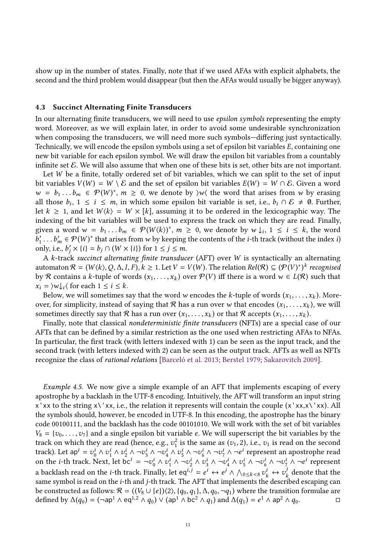show up in the number of states. Finally, note that if we used AFAs with explicit alphabets, the second and the third problem would disappear (but then the AFAs would usually be bigger anyway).

## 4.3 Succinct Alternating Finite Transducers

In our alternating finite transducers, we will need to use epsilon symbols representing the empty word. Moreover, as we will explain later, in order to avoid some undesirable synchronization when composing the transducers, we will need more such symbols—differing just syntactically. Technically, we will encode the epsilon symbols using a set of epsilon bit variables E, containing one new bit variable for each epsilon symbol. We will draw the epsilon bit variables from a countably infinite set  $\mathcal E$ . We will also assume that when one of these bits is set, other bits are not important.

Let W be a finite, totally ordered set of bit variables, which we can split to the set of input bit variables  $V(W) = W \setminus \mathcal{E}$  and the set of epsilon bit variables  $E(W) = W \cap \mathcal{E}$ . Given a word <sup>w</sup> <sup>=</sup> <sup>b</sup><sup>1</sup> . . . <sup>b</sup>m ∈ P(<sup>W</sup> ) ∗ , m <sup>≥</sup> 0, we denote by ⟩w⟨ the word that arises from w by erasing all those  $b_i$ ,  $1 \le i \le m$ , in which some epsilon bit variable is set, i.e.,  $b_i \cap \mathcal{E} \neq \emptyset$ . Further,  $\det k > 1$  and let  $W/k$  –  $W \times [k]$  assuming it to be ordered in the lexicographic way. The let  $k \ge 1$ , and let  $W\langle k \rangle = W \times [k]$ , assuming it to be ordered in the lexicographic way. The indexing of the bit variables will be used to express the track on which they are read. Finally, given a word  $w = b_1 \dots b_m \in \mathcal{P}(W(k))$ <sup>\*</sup>,  $m \geq 0$ , we denote by  $w \downarrow_i$ ,  $1 \leq i \leq k$ , the word  $b' = \mathcal{P}(W)^*$  that arises from w by keeping the contents of the *i*-th track (without the index *i*) only, i.e.,  $b'_j \times \{i\} = b_j \cap (W \times \{i\})$  for  $1 \le j \le m$ .<br>A k-track succinct elternating finite transduc  $\gamma'_{1} \dots b'_{m} \in \mathcal{P}(W)^{*}$  that arises from w by keeping the contents of the *i*-th track (without the index *i*)<br>ply i.e.  $b' \times bi - b \cdot O(W \times iii)$  for  $1 \le i \le m$ 

<sup>A</sup> k-track succinct alternating finite transducer (AFT) over W is syntactically an alternating automaton  $\mathcal{R} = (W \langle k \rangle, Q, \Delta, I, F), k \ge 1$ . Let  $V = V(W)$ . The relation  $Rel(\mathcal{R}) \subseteq (\mathcal{P}(V))^*$  recognised<br>by  $\mathcal{R}$  contains a k-tuple of words  $(x, \ldots, x_k)$  over  $\mathcal{P}(V)$  iff there is a word  $w \in I(\mathcal{R})$  such that by R contains a k-tuple of words  $(x_1, ..., x_k)$  over  $P(V)$  iff there is a word  $w \in L(R)$  such that  $x_i = |w_i|$  (for each  $1 \le i \le k$  $x_i = \forall w \downarrow_i \langle \text{ for each } 1 \leq i \leq k.$ 

Below, we will sometimes say that the word w encodes the k-tuple of words  $(x_1, \ldots, x_k)$ . Moreover, for simplicity, instead of saying that R has a run over w that encodes  $(x_1, \ldots, x_k)$ , we will sometimes directly say that R has a run over  $(x_1, \ldots, x_k)$  or that R accepts  $(x_1, \ldots, x_k)$ .

Finally, note that classical nondeterministic finite transducers (NFTs) are a special case of our AFTs that can be defined by a similar restriction as the one used when restricting AFAs to NFAs. In particular, the first track (with letters indexed with 1) can be seen as the input track, and the second track (with letters indexed with 2) can be seen as the output track. AFTs as well as NFTs recognize the class of rational relations [\[Barceló et al.](#page-28-6) [2013;](#page-28-6) [Berstel](#page-28-8) [1979;](#page-28-8) [Sakarovitch](#page-30-16) [2009\]](#page-30-16).

Example 4.5. We now give a simple example of an AFT that implements escaping of every apostrophe by a backlash in the UTF-8 encoding. Intuitively, the AFT will transform an input string  $x'$ xx to the string  $x'\cdot xx$ , i.e., the relation it represents will contain the couple  $(x'xx,x'\cdot xx)$ . All the symbols should, however, be encoded in UTF-8. In this encoding, the apostrophe has the binary code 00100111, and the backlash has the code 00101010. We will work with the set of bit variables  $V_8 = \{v_0, \ldots, v_7\}$  and a single epsilon bit variable e. We will superscript the bit variables by the track on which they are read (hence, e.g.,  $v_1^2$  is the same as  $(v_1, 2)$ , i.e.,  $v_1$  is read on the second<br>track) Let an<sup>t</sup>  $= v_1^i \wedge v_1^i \wedge v_1^i \wedge v_1^j \wedge v_1^j \wedge v_1^j \wedge v_1^j \wedge v_1^j \wedge v_1^j \wedge v_1^j$ track). Let  $ap^i = v_0^i \wedge v_1^i \wedge v_2^i \wedge \neg v_3^i \wedge \neg v_4^i \wedge v_5^i \wedge \neg v_6^i \wedge \neg v_7^i \wedge \neg e_4^i$  represent an apostrophe read on the *i*-th track. Next, let bc<sup>*i*</sup> =  $\neg v_0^i \wedge v_1^i \wedge \neg v_2^i \wedge v_3^i \wedge \neg v_4^i \wedge v_5^i \wedge \neg v_6^i \wedge \neg v_7^i \wedge \neg e^i$  represent a backlash read on the *i*-th track. Finally, let eq<sup>i, j</sup> =  $e^i \leftrightarrow e^j \land \bigwedge_{0 \leq k < 8} v^i_k \leftrightarrow v^j_k$  denote that the<br>same symbol is read on the *i*-th and *i*-th track. The AFT that implements the described escaping can same symbol is read on the *i*-th and *j*-th track. The AFT that implements the described escaping can<br>be constructed as follows:  $\mathcal{R} = ((V_1 + (e))/2)$   $\{a_2, a_1\}$   $\Lambda$   $a_2, \neg a_1$ ) where the transition formulae are be constructed as follows:  $\mathcal{R} = ((V_8 \cup \{e\})\langle 2\rangle, \{q_0, q_1\}, \Delta, q_0, \neg q_1)$  where the transition formulae are defined by  $\Delta(q_0) = (\neg a p^1 \wedge \text{eq}^{1,2} \wedge q_0) \vee (\text{ap}^1 \wedge \text{bc}^2 \wedge q_1)$  and  $\Delta(q_1) = e^1 \wedge \text{ap}^2 \wedge q_0$ . defined by  $\Delta(q_0) = (\neg \text{ap}^1 \wedge \text{eq}^{1,2} \wedge q_0) \vee (\text{ap}^1 \wedge \text{bc}^2 \wedge q_1)$  and  $\Delta(q_1) = e^1 \wedge \text{ap}^2 \wedge q_0$ .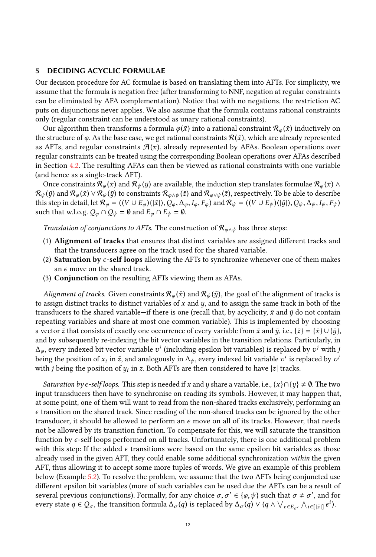## <span id="page-11-0"></span>5 DECIDING ACYCLIC FORMULAE

Our decision procedure for AC formulae is based on translating them into AFTs. For simplicity, we assume that the formula is negation free (after transforming to NNF, negation at regular constraints can be eliminated by AFA complementation). Notice that with no negations, the restriction AC puts on disjunctions never applies. We also assume that the formula contains rational constraints only (regular constraint can be understood as unary rational constraints).

Our algorithm then transforms a formula  $\varphi(\bar{x})$  into a rational constraint  $\mathcal{R}_{\varphi}(\bar{x})$  inductively on the structure of  $\varphi$ . As the base case, we get rational constraints  $\mathcal{R}(\bar{x})$ , which are already represented as AFTs, and regular constraints  $\mathcal{A}(x)$ , already represented by AFAs. Boolean operations over regular constraints can be treated using the corresponding Boolean operations over AFAs described in Section [4.2.](#page-8-2) The resulting AFAs can then be viewed as rational constraints with one variable (and hence as a single-track AFT).

Once constraints  $\mathcal{R}_{\varphi}(\bar{x})$  and  $\mathcal{R}_{\psi}(\bar{y})$  are available, the induction step translates formulae  $\mathcal{R}_{\varphi}(\bar{x}) \wedge$  $\mathcal{R}_{\psi}(\bar{y})$  and  $\mathcal{R}_{\psi}(\bar{x}) \vee \mathcal{R}_{\psi}(\bar{y})$  to constraints  $\mathcal{R}_{\varphi \wedge \psi}(\bar{z})$  and  $\mathcal{R}_{\varphi \vee \psi}(\bar{z})$ , respectively. To be able to describe this step in detail, let  $\mathcal{R}_{\varphi} = (\langle V \cup E_{\varphi} \rangle \langle |\bar{x}| \rangle, Q_{\varphi}, \Delta_{\varphi}, I_{\varphi}, F_{\varphi})$  and  $\mathcal{R}_{\psi} = (\langle V \cup E_{\psi} \rangle \langle |\bar{y}| \rangle, Q_{\psi}, \Delta_{\psi}, I_{\psi}, F_{\psi})$ such that w.l.o.g.  $Q_{\varphi} \cap Q_{\psi} = \emptyset$  and  $E_{\varphi} \cap E_{\psi} = \emptyset$ .

Translation of conjunctions to AFTs. The construction of  $\mathcal{R}_{\varphi \wedge \psi}$  has three steps:

- (1) Alignment of tracks that ensures that distinct variables are assigned different tracks and that the transducers agree on the track used for the shared variable.
- (2) Saturation by  $\epsilon$ -self loops allowing the AFTs to synchronize whenever one of them makes an  $\epsilon$  move on the shared track.
- (3) Conjunction on the resulting AFTs viewing them as AFAs.

Alignment of tracks. Given constraints  $\mathcal{R}_{\varphi}(\bar{x})$  and  $\mathcal{R}_{\psi}(\bar{y})$ , the goal of the alignment of tracks is to assign distinct tracks to distinct variables of  $\bar{x}$  and  $\bar{y}$ , and to assign the same track in both of the transducers to the shared variable—if there is one (recall that, by acyclicity,  $\bar{x}$  and  $\bar{y}$  do not contain repeating variables and share at most one common variable). This is implemented by choosing a vector  $\bar{z}$  that consists of exactly one occurrence of every variable from  $\bar{x}$  and  $\bar{y}$ , i.e.,  $\{\bar{z}\} = {\bar{x}} \cup {\bar{y}}$ , and by subsequently re-indexing the bit vector variables in the transition relations. Particularly, in  $\Delta_{\varphi}$ , every indexed bit vector variable  $v^i$  (including epsilon bit variables) is replaced by  $v^j$  with j<br>being the position of x, in z, and analogously in  $\Delta_{i}$ , every indexed bit variable  $v^i$  is replaced by being the position of  $x_i$  in  $\bar{z}$ , and analogously in  $\Delta_{\psi}$ , every indexed bit variable  $v^i$  is replaced by  $v^j$ <br>with *i* being the position of  $u$ , in  $\bar{z}$ . Both AFTs are then considered to have  $|\bar{z}|$  track with *j* being the position of  $y_i$  in  $\bar{z}$ . Both AFTs are then considered to have  $|\bar{z}|$  tracks.

*Saturation by ∈-self loops.* This step is needed if  $\bar{x}$  and  $\bar{y}$  share a variable, i.e.,  $\{\bar{x}\} \cap {\{\bar{y}\}} \neq \emptyset$ . The two input transducers then have to synchronise on reading its symbols. However, it may happen that, at some point, one of them will want to read from the non-shared tracks exclusively, performing an  $\epsilon$  transition on the shared track. Since reading of the non-shared tracks can be ignored by the other transducer, it should be allowed to perform an  $\epsilon$  move on all of its tracks. However, that needs not be allowed by its transition function. To compensate for this, we will saturate the transition function by  $\epsilon$ -self loops performed on all tracks. Unfortunately, there is one additional problem with this step: If the added  $\epsilon$  transitions were based on the same epsilon bit variables as those already used in the given AFT, they could enable some additional synchronization within the given AFT, thus allowing it to accept some more tuples of words. We give an example of this problem below (Example [5.2\)](#page-12-0). To resolve the problem, we assume that the two AFTs being conjuncted use different epsilon bit variables (more of such variables can be used due the AFTs can be a result of several previous conjunctions). Formally, for any choice  $\sigma, \sigma' \in {\varphi, \psi}$  such that  $\sigma \neq \sigma'$ , and for<br>every state  $\sigma \in \Omega$ , the transition formula  $\Lambda$ , (a) is replaced by  $\Lambda$ , (a)  $\vee$  (a)  $\wedge'$ ,  $\sigma$ ,  $\Lambda$ , respec every state  $q \in Q_{\sigma}$ , the transition formula  $\Delta_{\sigma}(q)$  is replaced by  $\Delta_{\sigma}(q) \vee (q \wedge \vee_{e \in E_{\sigma'}} \wedge_{i \in [|\bar{z}|]} e^{i}).$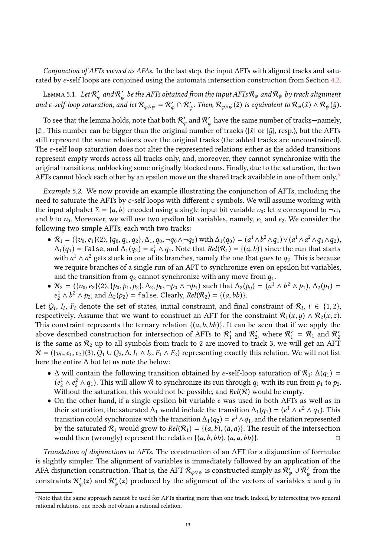Conjunction of AFTs viewed as AFAs. In the last step, the input AFTs with aligned tracks and saturated by  $\epsilon$ -self loops are conjoined using the automata intersection construction from Section [4.2.](#page-8-2)

LEMMA 5.1. Let  $\mathcal{R}'_{\varphi}$  and  $\mathcal{R}'_{\psi}$  be the AFTs obtained from the input AFTs  $\mathcal{R}_{\varphi}$  and  $\mathcal{R}_{\psi}$  by track alignment and  $\epsilon$ -self-loop saturation, and let  $\mathcal{R}_{\varphi \wedge \psi} = \mathcal{R}'_{\varphi} \cap \mathcal{R}'_{\psi}$ . Then,  $\mathcal{R}_{\varphi \wedge \psi}(\bar{z})$  is equivalent to  $\mathcal{R}_{\varphi}(\bar{x}) \wedge \mathcal{R}_{\psi}(\bar{y})$ . ψ

To see that the lemma holds, note that both  $\mathcal{R}'_{\omega}$  and  $\mathcal{R}'_{\omega}$  have the same number of tracks—namely,  $|\bar{z}|$ . This number can be bigger than the original number of tracks ( $|\bar{x}|$  or  $|\bar{y}|$ , resp.), but the AFTs still represent the same relations over the original tracks (the added tracks are unconstrained) still represent the same relations over the original tracks (the added tracks are unconstrained). The  $\epsilon$ -self loop saturation does not alter the represented relations either as the added transitions represent empty words across all tracks only, and, moreover, they cannot synchronize with the original transitions, unblocking some originally blocked runs. Finally, due to the saturation, the two AFTs cannot block each other by an epsilon move on the shared track available in one of them only.<sup>[5](#page-12-1)</sup>

<span id="page-12-0"></span>Example 5.2. We now provide an example illustrating the conjunction of AFTs, including the need to saturate the AFTs by  $\epsilon$ -self loops with different  $\epsilon$  symbols. We will assume working with the input alphabet  $\Sigma = \{a, b\}$  encoded using a single input bit variable  $v_0$ : let a correspond to  $\neg v_0$ and b to  $v_0$ . Moreover, we will use two epsilon bit variables, namely,  $e_1$  and  $e_2$ . We consider the following two simple AFTs, each with two tracks:

- $\mathcal{R}_1 = (\{v_0, e_1\} \langle 2 \rangle, \{q_0, q_1, q_2\}, \Delta_1, q_0, \neg q_0 \wedge \neg q_2)$  with  $\Delta_1(q_0) = (a^1 \wedge b^2 \wedge q_1) \vee (a^1 \wedge a^2 \wedge q_1 \wedge q_2)$ ,<br> $\Delta_1(q_1) = f_1 \circ g_2$  and  $\Delta_1(q_2) = e^1 \wedge q_1$ . Note that  $Rel(\mathcal{R}_1) = f(a, b)$  since the run tha  $\Delta_1(q_1)$  = false, and  $\Delta_1(q_2) = e_1^1 \wedge q_1$ . Note that  $Rel(R_1) = \{(a, b)\}$  since the run that starts<br>with  $a^1 \wedge a^2$  gets stuck in one of its branches, namely the one that goes to  $a_2$ . This is because with  $a^1 \wedge a^2$  gets stuck in one of its branches, namely the one that goes to  $q_2$ . This is because<br>we require branches of a single run of an AET to synchronize even on ensilon bit variables we require branches of a single run of an AFT to synchronize even on epsilon bit variables, and the transition from  $q_2$  cannot synchronize with any move from  $q_1$ .
- $R_2 = (\{v_0, e_2\}\langle 2), \{p_0, p_1, p_2\}, \Delta_2, p_0, \neg p_0 \wedge \neg p_1)$  such that  $\Delta_2(p_0) = (a^1 \wedge b^2 \wedge p_1), \Delta_2(p_1) =$ <br> $a^1 \wedge b^2 \wedge p_2$  and  $\Delta_2(p_2) = 5$  is exploring  $Rel(\mathcal{R}_2) = l(a, bb)$  $\frac{1}{2} \wedge b^2 \wedge p_2$ , and  $\Delta_2(p_2) = \text{false}$ . Clearly,  $Rel(\mathcal{R}_2) = \{(a, bb)\}$ .

Let  $Q_i$ ,  $I_i$ ,  $F_i$  denote the set of states, initial constraint, and final constraint of  $\mathcal{R}_i$ ,  $i \in \{1, 2\}$ ,<br>respectively. Assume that we want to construct an AFT for the constraint  $\mathcal{R}_i(x, u) \wedge \mathcal{R}_i(x, z)$ respectively. Assume that we want to construct an AFT for the constraint  $\mathcal{R}_1(x,y) \wedge \mathcal{R}_2(x,z)$ . This constraint represents the ternary relation  $\{(a,b,bb)\}$ . It can be seen that if we apply the above described construction for intersection of AFTs to  $\mathcal{R}'_1$  and  $\mathcal{R}'_2$ , where  $\mathcal{R}'_1 = \mathcal{R}_1$  and  $\mathcal{R}'_2$ is the same as  $\mathcal{R}_2$  up to all symbols from track to 2 are moved to track 3, we will get an AFT  $\mathcal{R} = (\{v_0, e_1, e_2\}\langle 3\rangle, Q_1 \cup Q_2, \Delta, I_1 \wedge I_2, F_1 \wedge F_2)$  representing exactly this relation. We will not list here the entire ∆ but let us note the below:

- ∆ will contain the following transition obtained by  $\epsilon$ -self-loop saturation of  $\mathcal{R}_1$ :  $\Delta(q_1)$  = Without the saturation, this would not be possible, and  $Rel(R)$  would be empty.<br>On the other hand, if a single ensilon bit variable e was used in both AFTs a  $\frac{1}{2} \wedge e_2^2 \wedge q_1$ ). This will allow R to synchronize its run through  $q_1$  with its run from  $p_1$  to  $p_2$ .<br>Given the saturation this would not be possible and  $Rel(\mathcal{R})$  would be empty
- On the other hand, if a single epsilon bit variable  $e$  was used in both AFTs as well as in their saturation, the saturated  $\Delta_1$  would include the transition  $\Delta_1(q_1) = (e^1 \wedge e^2 \wedge q_1)$ . This transition could synchronize with the transition  $\Delta_1(q_2) = e^1 \wedge q_2$ , and the relation represented transition could synchronize with the transition  $\Delta_1(q_2) = e^1 \wedge q_1$ , and the relation represented<br>by the saturated  $\mathcal{R}_1$ , would grow to  $Rel(\mathcal{R}_1) = I(q, h)$  (q, q)). The result of the intersection by the saturated  $\mathcal{R}_1$  would grow to  $Rel(\mathcal{R}_1) = \{(a, b), (a, a)\}$ . The result of the intersection would then (wrongly) represent the relation  $\{(a, b, bb), (a, a, bb)\}$ . would then (wrongly) represent the relation  $\{(a, b, bb), (a, a, bb)\}.$

Translation of disjunctions to AFTs. The construction of an AFT for a disjunction of formulae is slightly simpler. The alignment of variables is immediately followed by an application of the AFA disjunction construction. That is, the AFT  $\mathcal{R}_{\varphi \lor \psi}$  is constructed simply as  $\mathcal{R}'_{\varphi} \cup \mathcal{R}'_{\psi}$  from the constraints  $\mathcal{R}'_{\omega}(\bar{z})$  and  $\mathcal{R}'_{\omega}(\bar{z})$  produced by the alignment of the vectors of variables  $\bar{x}$  $\psi'_{\varphi}(\bar{z})$  and  $\mathcal{R}'_{\psi}(\bar{z})$  produced by the alignment of the vectors of variables  $\bar{x}$  and  $\bar{y}$  in

ψ

<span id="page-12-1"></span><sup>5</sup>Note that the same approach cannot be used for AFTs sharing more than one track. Indeed, by intersecting two general rational relations, one needs not obtain a rational relation.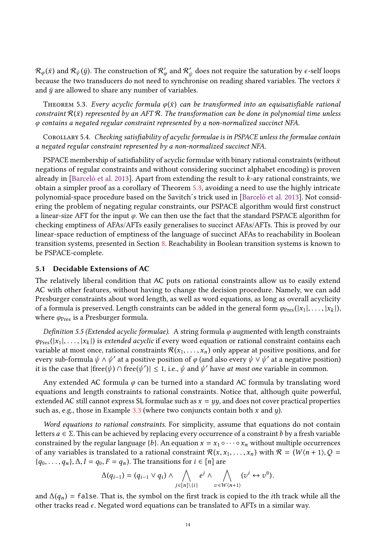$\mathcal{R}_{\varphi}(\bar{x})$  and  $\mathcal{R}_{\psi}(\bar{y})$ . The construction of  $\mathcal{R}'_{\varphi}$  and  $\mathcal{R}'_{\psi}$  does not require the saturation by  $\epsilon$ -self loops because the two transducers do not need to synchronise on reading shared variables. The vectors  $\bar{x}$ and  $\bar{y}$  are allowed to share any number of variables.

<span id="page-13-1"></span>THEOREM 5.3. Every acyclic formula  $\varphi(\bar{x})$  can be transformed into an equisatisfiable rational constraint  $\mathcal{R}(\bar{x})$  represented by an AFT R. The transformation can be done in polynomial time unless φ contains a negated regular constraint represented by a non-normalized succinct NFA.

<span id="page-13-2"></span>Corollary 5.4. Checking satisfiability of acyclic formulae is in PSPACE unless the formulae contain a negated regular constraint represented by a non-normalized succinct NFA.

PSPACE membership of satisfiability of acyclic formulae with binary rational constraints (without negations of regular constraints and without considering succinct alphabet encoding) is proven already in [\[Barceló et al.](#page-28-6) [2013\]](#page-28-6). Apart from extending the result to k-ary rational constraints, we obtain a simpler proof as a corollary of Theorem [5.3,](#page-13-1) avoiding a need to use the highly intricate polynomial-space procedure based on the Savitch´s trick used in [\[Barceló et al.](#page-28-6) [2013\]](#page-28-6). Not considering the problem of negating regular constraints, our PSPACE algorithm would first construct a linear-size AFT for the input  $\varphi$ . We can then use the fact that the standard PSPACE algorithm for checking emptiness of AFAs/AFTs easily generalises to succinct AFAs/AFTs. This is proved by our linear-space reduction of emptiness of the language of succinct AFAs to reachability in Boolean transition systems, presented in Section [8.](#page-20-0) Reachability in Boolean transition systems is known to be PSPACE-complete.

## <span id="page-13-0"></span>5.1 Decidable Extensions of AC

The relatively liberal condition that AC puts on rational constraints allow us to easily extend AC with other features, without having to change the decision procedure. Namely, we can add Presburger constraints about word length, as well as word equations, as long as overall acyclicity of a formula is preserved. Length constraints can be added in the general form  $\varphi_{\text{Pres}}(|x_1|, \ldots, |x_k|)$ , where  $\varphi_{\text{Pres}}$  is a Presburger formula.

Definition 5.5 (Extended acyclic formulae). A string formula φ augmented with length constraints  $\varphi_{\text{Pres}}(|x_1|, \ldots, |x_k|)$  is extended acyclic if every word equation or rational constraint contains each variable at most once, rational constraints  $\mathcal{R}(x_1, \ldots, x_n)$  only appear at positive positions, and for every sub-formula  $\psi \wedge \psi'$  at a positive position of  $\varphi$  (and also every  $\psi \vee \psi'$  at a negative position)<br>it is the case that  $|{\rm free}(\psi) \cap {\rm free}(\psi')| \le 1$  i.e.,  $\psi$  and  $\psi'$  have at most one variable in common it is the case that  $|free(\psi) \cap free(\psi')| \leq 1$ , i.e.,  $\psi$  and  $\psi'$  have *at most one* variable in common.

Any extended AC formula  $\varphi$  can be turned into a standard AC formula by translating word equations and length constraints to rational constraints. Notice that, although quite powerful, extended AC still cannot express SL formulae such as  $x = yy$ , and does not cover practical properties such as, e.g., those in Example [3.3](#page-6-0) (where two conjuncts contain both x and  $y$ ).

Word equations to rational constraints. For simplicity, assume that equations do not contain letters  $a \in \Sigma$ . This can be achieved by replacing every occurrence of a constraint b by a fresh variable constrained by the regular language {b}. An equation  $x = x_1 \circ \cdots \circ x_n$  without multiple occurrences of any variables is translated to a rational constraint  $\mathcal{R}(x, x_1, \ldots, x_n)$  with  $\mathcal{R} = (W(n+1), Q =$  ${q_0, \ldots, q_n}, \Delta, I = q_0, F = q_n$ . The transitions for  $i \in [n]$  are

$$
\Delta(q_{i-1})=(q_{i-1}\vee q_i)\wedge\bigwedge_{j\in[n]\setminus\{i\}}e^j\wedge\bigwedge_{v\in W\langle n+1\rangle}(v^i\leftrightarrow v^0).
$$

and  $\Delta(q_n)$  = false. That is, the symbol on the first track is copied to the *i*th track while all the other tracks read  $\epsilon$ . Negated word equations can be translated to AFTs in a similar way.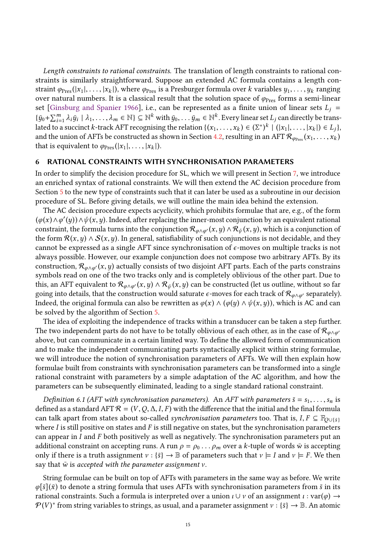Length constraints to rational constraints. The translation of length constraints to rational constraints is similarly straightforward. Suppose an extended AC formula contains a length constraint  $\varphi_{\text{Pres}}(|x_1|, \ldots, |x_k|)$ , where  $\varphi_{\text{Pres}}$  is a Presburger formula over k variables  $y_1, \ldots, y_k$  ranging over natural numbers. It is a classical result that the solution space of  $\varphi_{\text{Pres}}$  forms a semi-linear set [\[Ginsburg and Spanier](#page-29-20) [1966\]](#page-29-20), i.e., can be represented as a finite union of linear sets  $L_j$  =  $\{\bar{y}_0 + \sum_{i=1}^m \lambda_i \bar{y}_i \mid \lambda_1, \dots, \lambda_m \in \mathbb{N}\} \subseteq \mathbb{N}^k$  with  $\bar{y}_0, \dots \bar{y}_m \in \mathbb{N}^k$ . Every linear set  $L_j$  can directly be translated to a succinct k-track AFT recognising the relation  $\{(x_1, \ldots, x_k) \in (\Sigma^*)^k \mid (|x_1|, \ldots, |x_k|) \in L_j\}$ , and the union of AFTs be constructed as shown in Section 4.2, resulting in an AFT  $\mathcal{R}$  (x, x,) and the union of AFTs be constructed as shown in Section [4.2,](#page-8-2) resulting in an AFT  $\mathcal{R}_{\varphi_{\text{Pres}}}(x_1, \ldots, x_k)$ that is equivalent to  $\varphi_{\text{Pres}}(|x_1|, \ldots, |x_k|)$ .

## <span id="page-14-0"></span>6 RATIONAL CONSTRAINTS WITH SYNCHRONISATION PARAMETERS

In order to simplify the decision procedure for SL, which we will present in Section [7,](#page-16-0) we introduce an enriched syntax of rational constraints. We will then extend the AC decision procedure from Section [5](#page-11-0) to the new type of constraints such that it can later be used as a subroutine in our decision procedure of SL. Before giving details, we will outline the main idea behind the extension.

The AC decision procedure expects acyclicity, which prohibits formulae that are, e.g., of the form  $(\varphi(x) \wedge \varphi'(y)) \wedge \psi(x, y)$ . Indeed, after replacing the inner-most conjunction by an equivalent rational constraint, the formula turns into the conjunction  $\mathcal{R}_{\varphi}(x, y) \wedge \mathcal{R}_{\varphi}(x, y)$ , which is a conjunction of constraint, the formula turns into the conjunction  $\mathcal{R}_{\varphi \wedge \varphi'}(x,y) \wedge \mathcal{R}_{\psi}(x,y)$ , which is a conjunction of the form  $\mathcal{R}(x, y) \wedge \mathcal{S}(x, y)$ . In general, satisfiability of such conjunctions is not decidable, and they cannot be expressed as a single AFT since synchronisation of  $\epsilon$ -moves on multiple tracks is not always possible. However, our example conjunction does not compose two arbitrary AFTs. By its construction,  $\mathcal{R}_{\varphi \wedge \varphi'}(x, y)$  actually consists of two disjoint AFT parts. Each of the parts constrains symbols read on one of the two tracks only and is completely oblivious of the other part. Due to this, an AFT equivalent to  $\mathcal{R}_{\varphi \wedge \varphi'}(x,y) \wedge \mathcal{R}_{\psi}(x,y)$  can be constructed (let us outline, without so far going into details, that the construction would saturate  $\epsilon$ -moves for each track of  $\mathcal{R}_{\varphi \wedge \varphi'}$  separately). Indeed, the original formula can also be rewritten as  $\varphi(x) \wedge (\varphi(y) \wedge \psi(x, y))$ , which is AC and can be solved by the algorithm of Section [5.](#page-11-0)

The idea of exploiting the independence of tracks within a transducer can be taken a step further. The two independent parts do not have to be totally oblivious of each other, as in the case of  $\mathcal{R}_{\varphi \wedge \varphi'}$ above, but can communicate in a certain limited way. To define the allowed form of communication and to make the independent communicating parts syntactically explicit within string formulae, we will introduce the notion of synchronisation parameters of AFTs. We will then explain how formulae built from constraints with synchronisation parameters can be transformed into a single rational constraint with parameters by a simple adaptation of the AC algorithm, and how the parameters can be subsequently eliminated, leading to a single standard rational constraint.

Definition 6.1 (AFT with synchronisation parameters). An AFT with parameters  $\bar{s} = s_1, \ldots, s_n$  is defined as a standard AFT  $\mathcal{R} = (V, Q, \Delta, I, F)$  with the difference that the initial and the final formula can talk apart from states about so-called synchronisation parameters too. That is,  $I, F \subseteq \mathbb{F}_{Q \cup \{s\}}$ where  $I$  is still positive on states and  $F$  is still negative on states, but the synchronisation parameters can appear in  $I$  and  $F$  both positively as well as negatively. The synchronisation parameters put an additional constraint on accepting runs. A run  $\rho = \rho_0 \dots \rho_m$  over a k-tuple of words  $\bar{w}$  is accepting only if there is a truth assignment  $v : \{\bar{s}\} \to \mathbb{B}$  of parameters such that  $v \models I$  and  $v \models F$ . We then say that  $\bar{w}$  is accepted with the parameter assignment  $v$ .

String formulae can be built on top of AFTs with parameters in the same way as before. We write  $\varphi[\bar{s}](\bar{x})$  to denote a string formula that uses AFTs with synchronisation parameters from  $\bar{s}$  in its rational constraints. Such a formula is interpreted over a union  $\iota \cup \nu$  of an assignment  $\iota : \text{var}(\varphi) \rightarrow$  $\mathcal{P}(V)^*$  from string variables to strings, as usual, and a parameter assignment  $v : \{\bar{s}\} \to \mathbb{B}$ . An atomic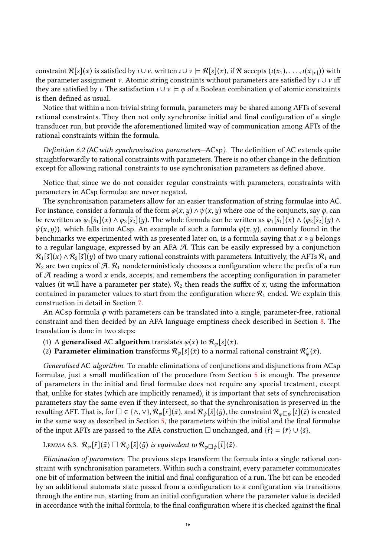constraint  $\mathcal{R}[\bar{s}](\bar{x})$  is satisfied by  $\iota \cup \nu$ , written  $\iota \cup \nu \models \mathcal{R}[\bar{s}](\bar{x})$ , if  $\mathcal{R}$  accepts  $(\iota(x_1), \dots, \iota(x_{|\bar{x}|}))$  with the parameter assignment  $\nu$ , Atomic string constraints without parameters are s the parameter assignment v. Atomic string constraints without parameters are satisfied by  $\iota \cup \nu$  iff they are satisfied by *ι*. The satisfaction  $\iota \cup \nu \models \varphi$  of a Boolean combination  $\varphi$  of atomic constraints is then defined as usual.

Notice that within a non-trivial string formula, parameters may be shared among AFTs of several rational constraints. They then not only synchronise initial and final configuration of a single transducer run, but provide the aforementioned limited way of communication among AFTs of the rational constraints within the formula.

Definition 6.2 (ACwith synchronisation parameters—ACsp). The definition of AC extends quite straightforwardly to rational constraints with parameters. There is no other change in the definition except for allowing rational constraints to use synchronisation parameters as defined above.

Notice that since we do not consider regular constraints with parameters, constraints with parameters in ACsp formulae are never negated.

The synchronisation parameters allow for an easier transformation of string formulae into AC. For instance, consider a formula of the form  $\varphi(x, y) \wedge \psi(x, y)$  where one of the conjuncts, say  $\varphi$ , can be rewritten as  $\varphi_1[\bar{s}_1](x) \wedge \varphi_2[\bar{s}_2](y)$ . The whole formula can be written as  $\varphi_1[\bar{s}_1](x) \wedge (\varphi_2[\bar{s}_2](y) \wedge$  $\psi(x,y)$ , which falls into ACsp. An example of such a formula  $\varphi(x,y)$ , commonly found in the benchmarks we experimented with as presented later on, is a formula saying that  $x \circ y$  belongs to a regular language, expressed by an AFA A. This can be easily expressed by a conjunction  $\mathcal{R}_1[\bar{s}](x) \wedge \mathcal{R}_2[\bar{s}](y)$  of two unary rational constraints with parameters. Intuitively, the AFTs  $\mathcal{R}_1$  and  $\mathcal{R}_2$  are two copies of  $\mathcal{A}$ .  $\mathcal{R}_1$  nondeterministicaly chooses a configuration where the prefix of a run of  $A$  reading a word  $x$  ends, accepts, and remembers the accepting configuration in parameter values (it will have a parameter per state).  $\mathcal{R}_2$  then reads the suffix of x, using the information contained in parameter values to start from the configuration where  $\mathcal{R}_1$  ended. We explain this construction in detail in Section [7.](#page-16-0)

An ACsp formula  $\varphi$  with parameters can be translated into a single, parameter-free, rational constraint and then decided by an AFA language emptiness check described in Section [8.](#page-20-0) The translation is done in two steps:

- (1) A **generalised** AC **algorithm** translates  $\varphi(\bar{x})$  to  $\mathcal{R}_{\varphi}[\bar{s}](\bar{x})$ .
- (2) **Parameter elimination** transforms  $\mathcal{R}_{\varphi}[\bar{s}](\bar{x})$  to a normal rational constraint  $\mathcal{R}'_{\varphi}(\bar{x})$ .

φ

Generalised AC algorithm. To enable eliminations of conjunctions and disjunctions from ACsp formulae, just a small modification of the procedure from Section [5](#page-11-0) is enough. The presence of parameters in the initial and final formulae does not require any special treatment, except that, unlike for states (which are implicitly renamed), it is important that sets of synchronisation parameters stay the same even if they intersect, so that the synchronisation is preserved in the resulting AFT. That is, for  $\square \in \{\land, \lor\}$ ,  $\mathcal{R}_{\varphi}[\bar{r}](\bar{x})$ , and  $\mathcal{R}_{\psi}[\bar{s}](\bar{y})$ , the constraint  $\mathcal{R}_{\varphi \square \psi}[\bar{t}](\bar{z})$  is created in the same way as described in Section [5,](#page-11-0) the parameters within the initial and the final formulae of the input AFTs are passed to the AFA construction  $\Box$  unchanged, and  $\{\bar{t}\} = \{\bar{r}\} \cup \{\bar{s}\}.$ 

LEMMA 6.3.  $\mathcal{R}_{\varphi}[\bar{r}](\bar{x}) \square \mathcal{R}_{\psi}[\bar{s}](\bar{y})$  is equivalent to  $\mathcal{R}_{\varphi \square \psi}[\bar{t}](\bar{z})$ .

Elimination of parameters. The previous steps transform the formula into a single rational constraint with synchronisation parameters. Within such a constraint, every parameter communicates one bit of information between the initial and final configuration of a run. The bit can be encoded by an additional automata state passed from a configuration to a configuration via transitions through the entire run, starting from an initial configuration where the parameter value is decided in accordance with the initial formula, to the final configuration where it is checked against the final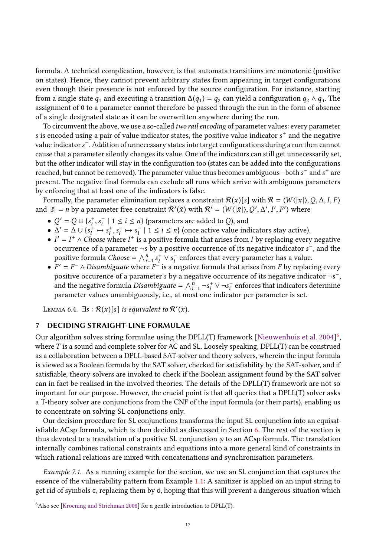formula. A technical complication, however, is that automata transitions are monotonic (positive on states). Hence, they cannot prevent arbitrary states from appearing in target configurations even though their presence is not enforced by the source configuration. For instance, starting from a single state  $q_1$  and executing a transition  $\Delta(q_1) = q_2$  can yield a configuration  $q_2 \wedge q_3$ . The assignment of 0 to a parameter cannot therefore be passed through the run in the form of absence of a single designated state as it can be overwritten anywhere during the run.

To circumvent the above, we use a so-called *two rail encoding* of parameter values: every parameter s is encoded using a pair of value indicator states, the positive value indicator  $s^+$  and the negative value indicator  $s^-$  Addition of unnecessary states into target configurations during a run then cannot value indicators − . Addition of unnecessary states into target configurations during a run then cannot cause that a parameter silently changes its value. One of the indicators can still get unnecessarily set, but the other indicator will stay in the configuration too (states can be added into the configurations reached, but cannot be removed). The parameter value thus becomes ambiguous—both  $s^-$  and  $s^+$  are<br>present. The perstive final formula can exclude all runs which arrive with ambiguous parameters present. The negative final formula can exclude all runs which arrive with ambiguous parameters by enforcing that at least one of the indicators is false.

Formally, the parameter elimination replaces a constraint  $\mathcal{R}(\bar{x})[\bar{s}]$  with  $\mathcal{R} = (W\langle |\bar{x}|), Q, \Delta, I, F)$ and  $|\bar{s}| = n$  by a parameter free constraint  $\mathcal{R}'(\bar{x})$  with  $\mathcal{R}' = (W(|\bar{x}|), Q')$  $, -$ ′  $, -$ ′  $, -$ ′ ) where

- $Q' = Q \cup \{s_i^+, s_i^- \mid 1 \le i \le n\}$  (parameters are added to Q), and<br>•  $A' = A \cup \{s^+ \mapsto s^+ \mid s^- \mapsto s^- \mid 1 \le i \le n\}$  (once active value inc
- $\sum_{i=1}^{\infty}$   $\sum_{i=1}^{\infty}$   $\sum_{i=1}^{\infty}$   $\sum_{i=1}^{\infty}$   $\sum_{i=1}^{\infty}$  i  $\sum_{i=1}^{\infty}$  (once active value indicators stay active).<br>
►  $I' = I^+ \wedge$  Choose where  $I^+$  is a positive formula that arises from L by replac
- $I' = I^+ \wedge Choose$  where  $I^+$  is a positive formula that arises from I by replacing every negative occurrence of a parameter  $\neg$ s by a positive occurrence of its negative indicator  $s^-$  and the occurrence of a parameter  $\neg s$  by a positive occurrence of its negative indicator  $s^-$ , and the positive formula *Choose* =  $\wedge^h \cdot s^+ \vee s^-$  enforces that every parameter has a value positive formula Choose =  $\bigwedge_{i=1}^{n} s$ <br> $F' = F^- \land Disambipuate$  where F  $\frac{i}{i} \vee s_i^-$ <br>- is a n enforces that every parameter has a value.
- i •  $F' = F^- \wedge Disambiguate$  where  $F^-$  is a negative formula that arises from F by replacing every negative occurrence of a parameter s by a negative occurrence of its negative indicator  $-\varepsilon^$ positive occurence of a parameter s by a negative occurrence of its negative indicator  $\neg s$ ,  $\Box$ <br>and the negative formula *Disambiquate*  $= \wedge^n$ ,  $\Box s^+ \vee \Box s^-$  enforces that indicators determine and the negative formula *Disambiguate* =  $\bigwedge_{i=1}^{\overline{n}} \neg s_i^+ \vee \neg s_i^-$  enforces that indicators determine narameter values unambiguously i.e., at most one indicator per parameter is set i parameter values unambiguously, i.e., at most one indicator per parameter is set.

LEMMA 6.4.  $\exists \bar{s} : \mathcal{R}(\bar{x})[\bar{s}]$  is equivalent to  $\mathcal{R}'(\bar{x})$ .

## <span id="page-16-0"></span>7 DECIDING STRAIGHT-LINE FORMULAE

Our algorithm solves string formulae using the DPLL(T) framework [\[Nieuwenhuis et al.](#page-30-22) [2004\]](#page-30-22)<sup>[6](#page-16-1)</sup>. where T is a sound and complete solver for AC and SL. Loosely speaking, DPLL(T) can be construed as a collaboration between a DPLL-based SAT-solver and theory solvers, wherein the input formula is viewed as a Boolean formula by the SAT solver, checked for satisfiability by the SAT-solver, and if satisfiable, theory solvers are invoked to check if the Boolean assignment found by the SAT solver can in fact be realised in the involved theories. The details of the DPLL(T) framework are not so important for our purpose. However, the crucial point is that all queries that a DPLL(T) solver asks a T-theory solver are conjunctions from the CNF of the input formula (or their parts), enabling us to concentrate on solving SL conjunctions only.

Our decision procedure for SL conjunctions transforms the input SL conjunction into an equisatisfiable ACsp formula, which is then decided as discussed in Section [6.](#page-14-0) The rest of the section is thus devoted to a translation of a positive SL conjunction  $\varphi$  to an ACsp formula. The translation internally combines rational constraints and equations into a more general kind of constraints in which rational relations are mixed with concatenations and synchronisation parameters.

<span id="page-16-2"></span>Example 7.1. As a running example for the section, we use an SL conjunction that captures the essence of the vulnerability pattern from Example [1.1:](#page-1-0) A sanitizer is applied on an input string to get rid of symbols c, replacing them by d, hoping that this will prevent a dangerous situation which

<span id="page-16-1"></span><sup>6</sup>Also see [\[Kroening and Strichman](#page-29-21) [2008\]](#page-29-21) for a gentle introduction to DPLL(T).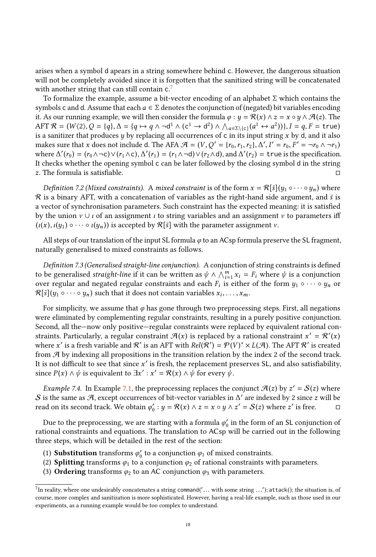arises when a symbol d apears in a string somewhere behind c. However, the dangerous situation will not be completely avoided since it is forgotten that the sanitized string will be concatenated with another string that can still contain c.<sup>[7](#page-17-0)</sup>

To formalize the example, assume a bit-vector encoding of an alphabet  $\Sigma$  which contains the symbols c and d. Assume that each  $a \in \Sigma$  denotes the conjunction of (negated) bit variables encoding it. As our running example, we will then consider the formula  $\varphi : y = \mathcal{R}(x) \wedge z = x \circ y \wedge \mathcal{A}(z)$ . The AFT  $\mathcal{R} = (W(2), Q = \{q\}, \Delta = \{q \mapsto q \wedge \neg d^1 \wedge (c^1 \rightarrow d^2) \wedge \bigwedge_{a \in \Sigma \setminus \{c\}} (a^1 \leftrightarrow a^2)\}\)$ ,  $I = q, F = \text{true}$ ) AFT  $\mathcal{R} = (W \langle 2 \rangle, Q = \{q\}, \Delta = \{q \mapsto q \land \neg q \land (C \rightarrow q) \land (\neg q \in \mathcal{R}(\epsilon) \mid (a \leftrightarrow a \rightarrow))\}, I = q, F = \text{true}\}$ <br>is a sanitizer that produces y by replacing all occurrences of c in its input string x by d, and it also<br>makes sure that x does makes sure that x does not include d. The AFA  $\mathcal{A} = (V, Q' = \{r_0, r_1, r_2\}, \Delta', I' = r_0, F' = \neg r_0 \wedge \neg r_1)$ <br>where  $\Delta'(r_0) = (r_0 \wedge \neg r_1) \Delta'(r_0) = (r_0 \wedge \neg r_1) \vee (r_0 \wedge \neg r_1)$ where  $\Delta'(r_0) = (r_0 \land \neg c) \lor (r_1 \land c), \Delta'(r_1) = (r_1 \land \neg d) \lor (r_2 \land d),$  and  $\Delta'(r_2) =$  true is the specification. It checks whether the opening symbol c can be later followed by the closing symbol d in the string  $z$ . The formula is satisfiable.

*Definition 7.2 (Mixed constraints).* A *mixed constraint* is of the form  $x = \mathcal{R}[\bar{s}](y_1 \circ \cdots \circ y_n)$  where  $\mathcal R$  is a binary AFT, with a concatenation of variables as the right-hand side argument, and  $\bar{s}$  is a vector of synchronisation parameters. Such constraint has the expected meaning: it is satisfied by the union  $\nu \cup \iota$  of an assignment  $\iota$  to string variables and an assignment  $\nu$  to parameters iff  $(\iota(x), \iota(y_1) \circ \cdots \circ \iota(y_n))$  is accepted by  $\mathcal{R}[\bar{s}]$  with the parameter assignment  $\nu$ .

All steps of our translation of the input SL formula  $\varphi$  to an ACsp formula preserve the SL fragment, naturally generalised to mixed constraints as follows.

Definition 7.3 (Generalised straight-line conjunction). A conjunction of string constraints is defined to be generalised *straight-line* if it can be written as  $\psi \wedge \bigwedge_{i=1}^{m} x_i = F_i$  where  $\psi$  is a conjunction<br>over regular and negated regular constraints and each  $F_i$  is either of the form  $y_i \wedge \cdots \wedge y_j$  or over regular and negated regular constraints and each  $F_i$  is either of the form  $y_1 \circ \cdots \circ y_n$  or  $\mathcal{R}[\bar{\varepsilon}](y_1 \circ \cdots \circ y_n)$  such that it does not contain variables  $x_i$ .  $\mathcal{R}[\bar{s}](y_1 \circ \cdots \circ y_n)$  such that it does not contain variables  $x_i, \ldots, x_m$ .

For simplicity, we assume that  $\varphi$  has gone through two preprocessing steps. First, all negations were eliminated by complementing regular constraints, resulting in a purely positive conjunction. Second, all the—now only positive—regular constraints were replaced by equivalent rational constraints. Particularly, a regular constraint  $\mathcal{A}(x)$  is replaced by a rational constraint  $x' = \mathcal{R}'$ <br>where x' is a fresh variable and  $\mathcal{R}'$  is an AFT with  $Bel(\mathcal{R}') = \mathcal{Q}(V)^* \times I(\mathcal{A})$ . The AFT  $\mathcal{R}'$  is created where x' is a fresh variable and R' is an AFT with  $Rel(R') = P(V)^* \times L(H)$ . The AFT R' is created<br>from A by indexing all propositions in the transition relation by the index 2 of the second track from A by indexing all propositions in the transition relation by the index 2 of the second track. It is not difficult to see that since x' is fresh, the replacement preserves SL, and also satisfiability,<br>since  $P(x) \wedge \psi$  is equivalent to  $\exists x' : x' = R(x) \wedge \psi$  for every  $\psi$ since  $P(x) \wedge \psi$  is equivalent to  $\exists x' : x' = \mathcal{R}(x) \wedge \psi$  for every  $\bar{\psi}$ .

<span id="page-17-1"></span>Example 7.4. In Example [7.1,](#page-16-2) the preprocessing replaces the conjunct  $\mathcal{A}(z)$  by  $z' = \mathcal{S}(z)$  where<br>is the same as  $\mathcal{A}$  except occurrences of bit-vector variables in  $\Lambda'$  are indexed by 2 since z will be S is the same as A, except occurrences of bit-vector variables in  $\Delta'$  are indexed by 2 since z will be read on its second track. We obtain  $a' : u - \mathcal{R}(x) \wedge z = x \circ u \wedge z' = S(z)$  where z' is free read on its second track. We obtain  $\varphi'_0: y = \mathcal{R}(x) \wedge z = x \circ y \wedge z' = \mathcal{S}(z)$  where  $z'$  is free.  $\Box$ 

Due to the preprocessing, we are starting with a formula  $\varphi'_0$  in the form of an SL conjunction of tional constraints and equations. The translation to  $ACs$  will be carried out in the following rational constraints and equations. The translation to ACsp will be carried out in the following three steps, which will be detailed in the rest of the section:

- (1) **Substitution** transforms  $\varphi'_0$  to a conjunction  $\varphi_1$  of mixed constraints.<br>(2) **Splitting** transforms  $\varphi_0$  to a conjunction  $\varphi_0$  of rational constraints will
- (2) Splitting transforms  $\varphi_1$  to a conjunction  $\varphi_2$  of rational constraints with parameters.
- (3) Ordering transforms  $\varphi_2$  to an AC conjunction  $\varphi_3$  with parameters.

<span id="page-17-0"></span>The reality, where one undesirably concatenates a string command('... with some string ...'); attack(); the situation is, of course a proportion is more conhisticated. However, buting a real life example, such as these us course, more complex and sanitization is more sophisticated. However, having a real-life example, such as those used in our experiments, as a running example would be too complex to understand.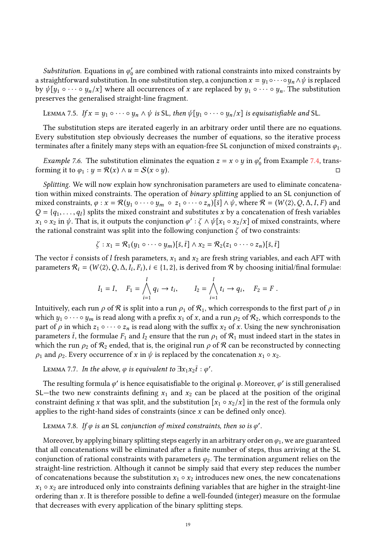*Substitution*. Equations in  $\varphi_0'$  are combined with rational constraints into mixed constraints by training terms of the constraints of the straining terms of the constraints of the constraints of the constraints of t a straightforward substitution. In one substitution step, a conjunction  $x = y_1 \circ \cdots \circ y_n \wedge \psi$  is replaced by  $\psi[y_1 \circ \cdots \circ y_n/x]$  where all occurrences of x are replaced by  $y_1 \circ \cdots \circ y_n$ . The substitution preserves the generalised straight-line fragment.

LEMMA 7.5. If 
$$
x = y_1 \circ \cdots \circ y_n \wedge \psi
$$
 is SL, then  $\psi[y_1 \circ \cdots \circ y_n/x]$  is equisatisfiable and SL.

The substitution steps are iterated eagerly in an arbitrary order until there are no equations. Every substitution step obviously decreases the number of equations, so the iterative process terminates after a finitely many steps with an equation-free SL conjunction of mixed constraints  $\varphi_1$ .

<span id="page-18-0"></span>Example 7.6. The substitution eliminates the equation  $z = x \circ y$  in  $\varphi'_0$  from Example [7.4,](#page-17-1) trans-<br>region is to  $\varphi_0 : y = \mathcal{R}(x) \wedge y = S(x \circ y)$ forming it to  $\varphi_1 : y = \mathcal{R}(x) \wedge u = \mathcal{S}(x \circ y)$ .

Splitting. We will now explain how synchronisation parameters are used to eliminate concatenation within mixed constraints. The operation of binary splitting applied to an SL conjunction of mixed constraints,  $\varphi : x = \mathcal{R}(y_1 \circ \cdots \circ y_m \circ z_1 \circ \cdots \circ z_n) [\bar{s}] \wedge \psi$ , where  $\mathcal{R} = (W \langle 2 \rangle, Q, \Delta, I, F)$  and  $Q = \{q_1, \ldots, q_l\}$  splits the mixed constraint and substitutes x by a concatenation of fresh variables  $x_1 \circ x_2$  in  $\psi$ . That is, it outputs the conjunction  $\varphi' : \zeta \wedge \psi[x_1 \circ x_2/x]$  of mixed constraints, where<br>the rational constraint was split into the following conjunction  $\zeta$  of two constraints: the rational constraint was split into the following conjunction  $\zeta$  of two constraints:

$$
\zeta: x_1 = \mathcal{R}_1(y_1 \circ \cdots \circ y_m)[\overline{s}, \overline{t}] \wedge x_2 = \mathcal{R}_2(z_1 \circ \cdots \circ z_n)[\overline{s}, \overline{t}]
$$

The vector  $\bar{t}$  consists of l fresh parameters,  $x_1$  and  $x_2$  are fresh string variables, and each AFT with parameters  $\mathcal{R}_i = (W(2), Q, \Delta, I_i, F_i), i \in \{1, 2\}$ , is derived from  $\mathcal{R}$  by choosing initial/final formulae:

$$
I_1 = I
$$
,  $F_1 = \bigwedge_{i=1}^{l} q_i \to t_i$ ,  $I_2 = \bigwedge_{i=1}^{l} t_i \to q_i$ ,  $F_2 = F$ .

Intuitively, each run  $\rho$  of  $\mathcal R$  is split into a run  $\rho_1$  of  $\mathcal R_1$ , which corresponds to the first part of  $\rho$  in which  $y_1 \circ \cdots \circ y_m$  is read along with a prefix  $x_1$  of  $x$ , and a run  $\rho_2$  of  $\mathcal{R}_2$ , which corresponds to the part of  $\rho$  in which  $z_1 \circ \cdots \circ z_n$  is read along with the suffix  $x_2$  of x. Using the new synchronisation parameters  $\bar{t}$ , the formulae  $F_1$  and  $I_2$  ensure that the run  $\rho_1$  of  $\mathcal{R}_1$  must indeed start in the states in which the run  $\rho_2$  of  $\mathcal{R}_2$  ended, that is, the original run  $\rho$  of  $\mathcal{R}$  can be reconstructed by connecting  $\rho_1$  and  $\rho_2$ . Every occurrence of x in  $\psi$  is replaced by the concatenation  $x_1 \circ x_2$ .

LEMMA 7.7. In the above,  $\varphi$  is equivalent to  $\exists x_1x_2\bar{t}:\varphi'.$ 

The resulting formula  $\varphi'$  is hence equisatisfiable to the original  $\varphi$ . Moreover,  $\varphi'$  is still generalised the two new constraints defining  $x_i$ , and  $x_i$  can be placed at the position of the original SL—the two new constraints defining  $x_1$  and  $x_2$  can be placed at the position of the original constraint defining x that was split, and the substitution  $[x_1 \circ x_2/x]$  in the rest of the formula only applies to the right-hand sides of constraints (since  $x$  can be defined only once).

# LEMMA 7.8. If  $\varphi$  is an SL conjunction of mixed constraints, then so is  $\varphi'$ .

Moreover, by applying binary splitting steps eagerly in an arbitrary order on  $\varphi_1$ , we are guaranteed that all concatenations will be eliminated after a finite number of steps, thus arriving at the SL conjunction of rational constraints with parameters  $\varphi_2$ . The termination argument relies on the straight-line restriction. Although it cannot be simply said that every step reduces the number of concatenations because the substitution  $x_1 \circ x_2$  introduces new ones, the new concatenations  $x_1 \circ x_2$  are introduced only into constraints defining variables that are higher in the straight-line ordering than x. It is therefore possible to define a well-founded (integer) measure on the formulae that decreases with every application of the binary splitting steps.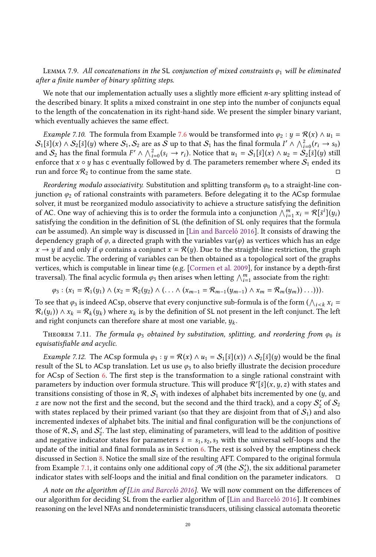<span id="page-19-0"></span>LEMMA 7.9. All concatenations in the SL conjunction of mixed constraints  $\varphi_1$  will be eliminated after a finite number of binary splitting steps.

We note that our implementation actually uses a slightly more efficient *n*-ary splitting instead of the described binary. It splits a mixed constraint in one step into the number of conjuncts equal to the length of the concatenation in its right-hand side. We present the simpler binary variant, which eventually achieves the same effect.

*Example 7.10.* The formula from Example [7.6](#page-18-0) would be transformed into  $\varphi_2 : y = \mathcal{R}(x) \wedge u_1 =$  $S_1[\bar{s}](x) \wedge S_2[\bar{s}](y)$  where  $S_1, S_2$  are as S up to that  $S_1$  has the final formula  $I' \wedge \bigwedge_{i=0}^{2} (r_i \rightarrow s_0)$ <br>and S<sub>2</sub> has the final formula  $F' \wedge \bigwedge^2 (s_i \rightarrow r_i)$  Notice that  $y_i = S_i[\bar{s}](x) \wedge y_0 = S_i[\bar{s}](y)$  still  $S_1[s](x) \wedge S_2[s](y)$  where  $S_1, S_2$  are as  $S$  up to that  $S_1$  has the final formula  $I' \wedge \bigwedge_{i=0}^{x} (r_i \rightarrow s_0)$ <br>and  $S_2$  has the final formula  $F' \wedge \bigwedge_{i=0}^{2} (s_i \rightarrow r_i)$ . Notice that  $u_1 = S_1[s](x) \wedge u_2 = S_2[s](y)$  still enforce that *x* ◦ *y* has c eventually followed by d. The parameters remember where  $S_1$  ended its run and force  $\mathcal{R}_2$  to continue from the same state. run and force  $\mathcal{R}_2$  to continue from the same state.

Reordering modulo associativity. Substitution and splitting transform  $\varphi_0$  to a straight-line conjunction  $\varphi_2$  of rational constraints with parameters. Before delegating it to the ACsp formulae solver, it must be reorganized modulo associativity to achieve a structure satisfying the definition of AC. One way of achieving this is to order the formula into a conjunction  $\bigwedge_{i=1}^{m} x_i = \mathcal{R}[\bar{s}^i](y_i)$ <br>satisfying the condition in the definition of SL (the definition of SL only requires that the formul satisfying the condition in the definition of SL (the definition of SL only requires that the formula can be assumed). An simple way is discussed in [\[Lin and Barceló](#page-30-8) [2016\]](#page-30-8). It consists of drawing the dependency graph of  $\varphi$ , a directed graph with the variables var( $\varphi$ ) as vertices which has an edge  $x \to y$  if and only if  $\varphi$  contains a conjunct  $x = \mathcal{R}(y)$ . Due to the straight-line restriction, the graph must be acyclic. The ordering of variables can be then obtained as a topological sort of the graphs vertices, which is computable in linear time (e.g. [\[Cormen et al.](#page-29-22) [2009\]](#page-29-22), for instance by a depth-first traversal). The final acyclic formula  $\varphi_3$  then arises when letting  $\bigwedge_{i=1}^m$  associate from the right:

$$
\varphi_3:(x_1=\mathcal{R}_1(y_1)\wedge(x_2=\mathcal{R}_2(y_2)\wedge(\ldots\wedge(x_{m-1}=\mathcal{R}_{m-1}(y_{m-1})\wedge x_m=\mathcal{R}_m(y_m))\ldots))).
$$

To see that  $\varphi_3$  is indeed ACsp, observe that every conjunctive sub-formula is of the form  $(\bigwedge_{i \leq k} x_i = \mathcal{R}_i(y_i)) \wedge x_i = \mathcal{R}_i(y_i)$  where  $x_i$  is by the definition of SI not present in the left conjunct. The left  $\mathcal{R}_i(y_i) \wedge x_k = \mathcal{R}_k(y_k)$  where  $x_k$  is by the definition of SL not present in the left conjunct. The left and right conjuncts can therefore share at most one variable  $y_i$ and right conjuncts can therefore share at most one variable,  $y_k$ .

THEOREM 7.11. The formula  $\varphi_3$  obtained by substitution, splitting, and reordering from  $\varphi_0$  is equisatisfiable and acyclic.

*Example 7.12.* The ACsp formula  $\varphi_3 : y = \mathcal{R}(x) \wedge u_1 = S_1[\bar{s}](x) \wedge S_2[\bar{s}](y)$  would be the final result of the SL to ACsp translation. Let us use  $\varphi_3$  to also briefly illustrate the decision procedure for ACsp of Section [6.](#page-14-0) The first step is the transformation to a single rational constraint with parameters by induction over formula structure. This will produce  $\mathcal{R}'[\bar{s}](x,y,z)$  with states and<br>transitions consisting of those in  $\mathcal{R} \cdot S$ , with indexes of alphabet hits incremented by one (y, and transitions consisting of those in  $\mathcal{R}, \mathcal{S}_1$  with indexes of alphabet bits incremented by one  $(y, \text{ and})$ z are now not the first and the second, but the second and the third track), and a copy  $S_2^{\prime}$  of  $S_2$ <br>with states replaced by their primed variant (so that they are disjoint from that of S.) and also with states replaced by their primed variant (so that they are disjoint from that of  $S_1$ ) and also incremented indexes of alphabet bits. The initial and final configuration will be the conjunctions of those of R,  $S_1$  and  $S_2'$ . The last step, eliminating of parameters, will lead to the addition of positive<br>and negative indicator states for parameters  $\bar{s} = s_1$  see Se with the universal self-loops and the and negative indicator states for parameters  $\bar{s} = s_1, s_2, s_3$  with the universal self-loops and the update of the initial and final formula as in Section [6.](#page-14-0) The rest is solved by the emptiness check discussed in Section [8.](#page-20-0) Notice the small size of the resulting AFT. Compared to the original formula from Example [7.1,](#page-16-2) it contains only one additional copy of  $\mathcal{A}$  (the  $\mathcal{S}'_2$ ), the six additional parameter indicator states with self-loops and the initial and final condition on the parameter indicators. indicator states with self-loops and the initial and final condition on the parameter indicators.  $\Box$ 

A note on the algorithm of [\[Lin and Barceló](#page-30-8) [2016\]](#page-30-8). We will now comment on the differences of our algorithm for deciding SL from the earlier algorithm of [\[Lin and Barceló](#page-30-8) [2016\]](#page-30-8). It combines reasoning on the level NFAs and nondeterministic transducers, utilising classical automata theoretic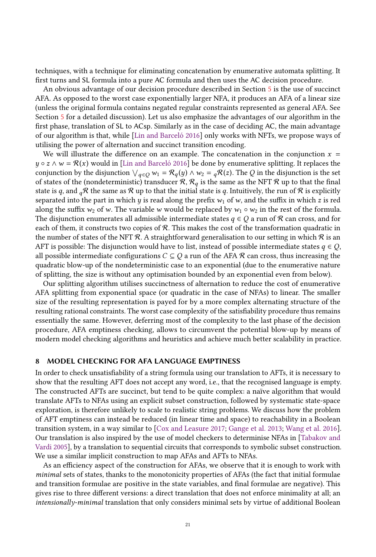techniques, with a technique for eliminating concatenation by enumerative automata splitting. It first turns and SL formula into a pure AC formula and then uses the AC decision procedure.

An obvious advantage of our decision procedure described in Section [5](#page-11-0) is the use of succinct AFA. As opposed to the worst case exponentially larger NFA, it produces an AFA of a linear size (unless the original formula contains negated regular constraints represented as general AFA. See Section [5](#page-11-0) for a detailed discussion). Let us also emphasize the advantages of our algorithm in the first phase, translation of SL to ACsp. Similarly as in the case of deciding AC, the main advantage of our algorithm is that, while [\[Lin and Barceló](#page-30-8) [2016\]](#page-30-8) only works with NFTs, we propose ways of utilising the power of alternation and succinct transition encoding.

We will illustrate the difference on an example. The concatenation in the conjunction  $x =$  $y \circ z \wedge w = \mathcal{R}(x)$  would in [\[Lin and Barceló](#page-30-8) [2016\]](#page-30-8) be done by enumerative splitting. It replaces the conjunction by the disjunction  $\bigvee_{q \in Q} w_1 = \mathcal{R}_q(y) \wedge w_2 = {}_q\mathcal{R}(z)$ . The Q in the disjunction is the set<br>of states of the (nondeterministic) transducer  $\mathcal{R}_q \mathcal{R}_q$  is the same as the NET  $\mathcal{R}_q$  up to that t of states of the (nondeterministic) transducer  $\mathcal{R}, \mathcal{R}_q$  is the same as the NFT  $\mathcal{R}$  up to that the final state is q, and  $_q\mathcal{R}$  the same as  $\mathcal{R}$  up to that the initial state is q. Intuitively, the run of  $\mathcal{R}$  is explicitly separated into the part in which y is read along the prefix  $w_1$  of w, and the suffix in which z is red along the suffix  $w_2$  of w. The variable w would be replaced by  $w_1 \circ w_2$  in the rest of the formula. The disjunction enumerates all admissible intermediate states  $q \in Q$  a run of R can cross, and for each of them, it constructs two copies of  $\mathcal{R}$ . This makes the cost of the transformation quadratic in the number of states of the NFT R. A straightforward generalisation to our setting in which R is an AFT is possible: The disjunction would have to list, instead of possible intermediate states  $q \in Q$ , all possible intermediate configurations  $C \subseteq Q$  a run of the AFA  $\mathcal R$  can cross, thus increasing the quadratic blow-up of the nondeterministic case to an exponential (due to the enumerative nature of splitting, the size is without any optimisation bounded by an exponential even from below).

Our splitting algorithm utilises succinctness of alternation to reduce the cost of enumerative AFA splitting from exponential space (or quadratic in the case of NFAs) to linear. The smaller size of the resulting representation is payed for by a more complex alternating structure of the resulting rational constraints. The worst case complexity of the satisfiability procedure thus remains essentially the same. However, deferring most of the complexity to the last phase of the decision procedure, AFA emptiness checking, allows to circumvent the potential blow-up by means of modern model checking algorithms and heuristics and achieve much better scalability in practice.

## <span id="page-20-0"></span>8 MODEL CHECKING FOR AFA LANGUAGE EMPTINESS

In order to check unsatisfiability of a string formula using our translation to AFTs, it is necessary to show that the resulting AFT does not accept any word, i.e., that the recognised language is empty. The constructed AFTs are succinct, but tend to be quite complex: a naïve algorithm that would translate AFTs to NFAs using an explicit subset construction, followed by systematic state-space exploration, is therefore unlikely to scale to realistic string problems. We discuss how the problem of AFT emptiness can instead be reduced (in linear time and space) to reachability in a Boolean transition system, in a way similar to [\[Cox and Leasure](#page-29-18) [2017;](#page-29-18) [Gange et al.](#page-29-23) [2013;](#page-29-23) [Wang et al.](#page-30-17) [2016\]](#page-30-17). Our translation is also inspired by the use of model checkers to determinise NFAs in [\[Tabakov and](#page-30-23) [Vardi](#page-30-23) [2005\]](#page-30-23), by a translation to sequential circuits that corresponds to symbolic subset construction. We use a similar implicit construction to map AFAs and AFTs to NFAs.

As an efficiency aspect of the construction for AFAs, we observe that it is enough to work with minimal sets of states, thanks to the monotonicity properties of AFAs (the fact that initial formulae and transition formulae are positive in the state variables, and final formulae are negative). This gives rise to three different versions: a direct translation that does not enforce minimality at all; an intensionally-minimal translation that only considers minimal sets by virtue of additional Boolean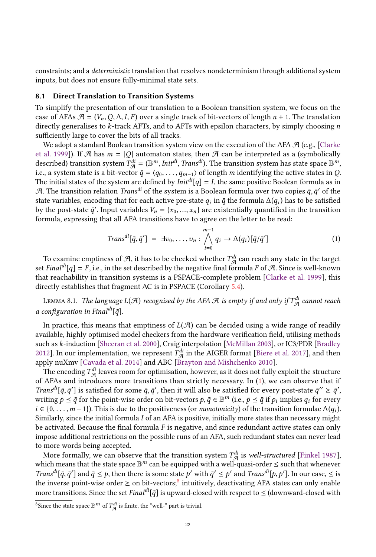constraints; and a deterministic translation that resolves nondeterminism through additional system inputs, but does not ensure fully-minimal state sets.

## <span id="page-21-2"></span>8.1 Direct Translation to Transition Systems

To simplify the presentation of our translation to a Boolean transition system, we focus on the case of AFAs  $\mathcal{A} = (V_n, Q, \Delta, I, F)$  over a single track of bit-vectors of length  $n + 1$ . The translation directly generalises to k-track AFTs, and to AFTs with epsilon characters, by simply choosing n sufficiently large to cover the bits of all tracks.

We adopt a standard Boolean transition system view on the execution of the AFA  $\mathcal{A}$  (e.g., [\[Clarke](#page-29-24) [et al.](#page-29-24) [1999\]](#page-29-24)). If  $\mathcal A$  has  $m = |Q|$  automaton states, then  $\mathcal A$  can be interpreted as a (symbolically described) transition system  $T_{\mathcal{A}}^{di} = (\mathbb{B}^m, Init^{di}, Trans^{di})$ . The transition system has state space  $\mathbb{B}^m$ ,<br>i.e., a system state is a bit-yector  $\bar{a} = (a_0, \ldots)$  of length m identifying the active states in O i.e., a system state is a bit-vector  $\bar{q} = \langle q_0, \ldots, q_{m-1} \rangle$  of length m identifying the active states in Q.<br>The initial states of the system are defined by *Init<sup>di</sup>*  $[\bar{q}] = I$  the same positive Boolean formula as in The initial states of the system are defined by  $Init^{di}[\bar{q}] = I$ , the same positive Boolean formula as in  $\mathcal{A}$ . The transition relation  $Trans^{di}$  of the system is a Boolean formula over two copies  $\bar{q}$ ,  $\bar{q}'$  of the A. The transition relation *Trans<sup>di</sup>* of the system is a Boolean formula over two copies  $\bar{q}$ ,  $\bar{q}'$  of the system is a the set of the system of the formula  $\Lambda(a)$  has to be satisfied state variables, encoding that for each active pre-state  $q_i$  in  $\bar{q}$  the formula  $\Delta(q_i)$  has to be satisfied<br>by the post-state  $\bar{q}'$ , Input variables  $V = \{x_i, \dots, x_j\}$  are existentially quantified in the transition by the post-state  $\bar{q}'$ . Input variables  $V_n = \{x_0, ..., x_n\}$  are existentially quantified in the transition formula expression that all AFA transitions have to agree on the letter to be read: formula, expressing that all AFA transitions have to agree on the letter to be read:

<span id="page-21-0"></span>
$$
Trans^{di}[\bar{q}, \bar{q}'] = \exists v_0, \dots, v_n : \bigwedge_{i=0}^{m-1} q_i \to \Delta(q_i) [\bar{q}/\bar{q}'] \tag{1}
$$

To examine emptiness of A, it has to be checked whether  $T_{\mathcal{A}}^{di}$  can reach any state in the target<br>Final<sup>di</sup>[a] – F i.e. in the set described by the negative final formula E of A. Since is well-known set Final<sup>di</sup>[ $\bar{q}$ ] = F, i.e., in the set described by the negative final formula F of A. Since is well-known that reachability in transition systems is a PSPACE-complete problem [\[Clarke et al.](#page-29-24) [1999\]](#page-29-24), this directly establishes that fragment AC is in PSPACE (Corollary [5.4\)](#page-13-2).

LEMMA 8.1. The language  $L(\mathcal{A})$  recognised by the AFA  $\mathcal A$  is empty if and only if  $T_{\mathcal{A}}^{di}$  cannot reach a configuration in Final<sup>di</sup>[ $\bar{q}$ ].

In practice, this means that emptiness of  $L(\mathcal{A})$  can be decided using a wide range of readily available, highly optimised model checkers from the hardware verification field, utilising methods such as k-induction [\[Sheeran et al.](#page-30-18) [2000\]](#page-30-18), Craig interpolation [\[McMillan](#page-30-19) [2003\]](#page-30-19), or IC3/PDR [\[Bradley](#page-28-7) [2012\]](#page-28-7). In our implementation, we represent  $\overline{T}_{\mathcal{A}}^{di}$  in the AIGER format [\[Biere et al.](#page-28-11) [2017\]](#page-28-11), and then<br>apply nuXmy [Cayada et al. 2014] and ABC [Brayton and Mishchenko 2010] apply nuXmv [\[Cavada et al.](#page-29-19) [2014\]](#page-29-19) and ABC [\[Brayton and Mishchenko](#page-28-9) [2010\]](#page-28-9).

The encoding  $T_{\mathcal{A}}^{di}$  leaves room for optimisation, however, as it does not fully exploit the structure  $\Delta$ FAs and introduces more transitions than strictly necessary In (1), we can observe that if of AFAs and introduces more transitions than strictly necessary. In [\(1\)](#page-21-0), we can observe that if Trans<sup>di</sup>[ $\bar{q}, \bar{q}'$ ] is satisfied for some  $\bar{q}, \bar{q}'$ , then it will also be satisfied for every post-state  $\bar{q}'' \geq \bar{q}'$ , writing  $\bar{q} \leq \bar{q}$  for the point-wise order on bit-vectors  $\bar{q}, \bar{q} \in \mathbb{R}^m$  (i.e writing  $\overline{p} \leq \overline{q}$  for the point-wise order on bit-vectors  $\overline{p}$ ,  $\overline{q} \in \mathbb{B}^m$  (i.e.,  $\overline{p} \leq \overline{q}$  if  $p_i$  implies  $q_i$  for every  $i \in \{0, m-1\}$ ). This is due to the positiveness (or monotonicity) of  $i \in \{0, \ldots, m-1\}$ ). This is due to the positiveness (or *monotonicity*) of the transition formulae  $\Delta(q_i)$ .<br>Similarly since the initial formula Lof an AEA is positive, initially more states than necessary might Similarly, since the initial formula I of an AFA is positive, initially more states than necessary might be activated. Because the final formula  $F$  is negative, and since redundant active states can only impose additional restrictions on the possible runs of an AFA, such redundant states can never lead to more words being accepted.

More formally, we can observe that the transition system  $T_{\mathcal{A}}^{di}$  is well-structured [\[Finkel](#page-29-25) [1987\]](#page-29-25), and the state space  $\mathbb{R}^m$  can be equipped with a well-quasi-order  $\leq$  such that whenever which means that the state space  $\mathbb{B}^m$  can be equipped with a well-quasi-order  $\leq$  such that whenever Trans<sup>di</sup>[ $\bar{q}, \bar{q}'$ ] and  $\bar{q} \leq \bar{p}$ , then there is some state  $\bar{p}'$  with  $\bar{q}' \leq \bar{p}'$  and Trans<sup>di</sup>[ $\bar{p}, \bar{p}'$ ]. In our case,  $\leq$  is the inverse point-wise order  $\geq$  on bit-vectors.<sup>8</sup> intuitively descr the inverse point-wise order  $\geq$  on bit-vectors;<sup>[8](#page-21-1)</sup> intuitively, deactivating AFA states can only enable more transitions. Since the set Finald<sup>i</sup>[ $\bar{q}$ ] is upward-closed with respect to  $\leq$  (downward-closed with

<span id="page-21-1"></span><sup>&</sup>lt;sup>8</sup>Since the state space  $\mathbb{B}^m$  of  $T_{\mathcal{A}}^{di}$  is finite, the "well-" part is trivial.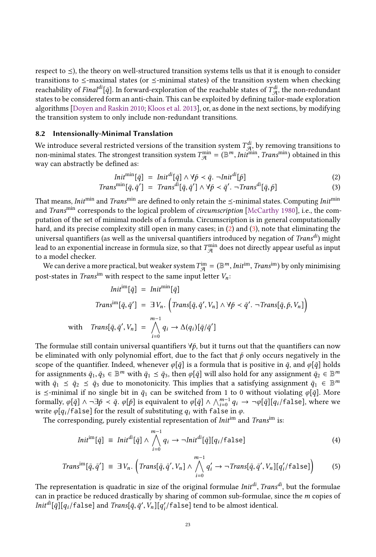respect to  $\leq$ ), the theory on well-structured transition systems tells us that it is enough to consider transitions to  $\leq$ -maximal states (or  $\leq$ -minimal states) of the transition system when checking reachability of *Final<sup>di</sup>*[ $\bar{q}$ ]. In forward-exploration of the reachable states of  $\mathcal{T}_{q}^{di}$ , the non-redundant<br>states to be considered form an anti-chain. This can be exploited by defining tailor-made exploration states to be considered form an anti-chain. This can be exploited by defining tailor-made exploration algorithms [\[Doyen and Raskin](#page-29-26) [2010;](#page-29-26) [Kloos et al.](#page-29-27) [2013\]](#page-29-27), or, as done in the next sections, by modifying the transition system to only include non-redundant transitions.

## <span id="page-22-4"></span>8.2 Intensionally-Minimal Translation

We introduce several restricted versions of the transition system  $T_{\mathcal{A}}^{di}$ , by removing transitions to non-minimal states. The strongest transition system  $T^{\min} - (\mathbb{R}^m I_{\mathcal{B}})^{\min}$ . Trans<sup>min</sup>, obtained in this non-minimal states. The strongest transition system  $T_{\mathcal{A}}^{\text{min}}$  $A_{\mathcal{A}}^{min} = (\mathbb{B}^m, Init^{min}, Trans^{min})$  obtained in this way can abstractly be defined as:

<span id="page-22-1"></span><span id="page-22-0"></span>
$$
Init^{\min}[\bar{q}] =Init^{di}[\bar{q}] \wedge \forall \bar{p} < \bar{q}, \negInit^{di}[\bar{p}]
$$
\n
$$
In^{min}[\bar{q}, \bar{q}'] = Tran^{dif}[\bar{q}, \bar{q}'] \wedge \forall \bar{p} < \bar{q}' = Tran^{dif}[\bar{q}, \bar{p}]
$$
\n
$$
(2)
$$

$$
Trans^{\min}[\bar{q}, \bar{q}'] = Trans^{\hat{di}}[\bar{q}, \bar{q}'] \wedge \forall \bar{p} < \bar{q}'. \neg Trans^{\hat{di}}[\bar{q}, \bar{p}] \tag{3}
$$

That means, *Init*<sup>min</sup> and *Trans<sup>min</sup>* are defined to only retain the  $\le$ -minimal states. Computing *Init*<sup>min</sup> and Trans<sup>min</sup> corresponds to the logical problem of *circumscription* [\[McCarthy](#page-30-24) [1980\]](#page-30-24), i.e., the computation of the set of minimal models of a formula. Circumscription is in general computationally hard, and its precise complexity still open in many cases; in [\(2\)](#page-22-0) and [\(3\)](#page-22-1), note that eliminating the universal quantifiers (as well as the universal quantifiers introduced by negation of Trans<sup>di</sup>) might lead to an exponential increase in formula size, so that  $T_{\mathcal{A}}^{\min}$  $_{\mathcal{A}}^{\text{min}}$  does not directly appear useful as input to a model checker.

We can derive a more practical, but weaker system  $T_{\text{max}}^{\text{im}}$ <br>at atates in Trans<sup>im</sup> with geometric the same input la  $\lim_{\mathcal{A}} = (\mathbb{B}^m, Init^{im}, Trans^{im})$  by only minimising post-states in Trans<sup>im</sup> with respect to the same input letter  $V_n$ .

$$
Init^{im}[\bar{q}] = Init^{min}[\bar{q}]
$$
  
\n
$$
Trans^{im}[\bar{q}, \bar{q}'] = \exists V_n. \left( Trans[\bar{q}, \bar{q}', V_n] \land \forall \bar{p} < \bar{q}'. \neg Trans[\bar{q}, \bar{p}, V_n] \right)
$$
  
\nwith 
$$
Trans[\bar{q}, \bar{q}', V_n] = \bigwedge_{i=0}^{m-1} q_i \rightarrow \Delta(q_i)[\bar{q}/\bar{q}']
$$

The formulae still contain universal quantifiers  $\forall \bar{p}$ , but it turns out that the quantifiers can now be eliminated with only polynomial effort, due to the fact that  $\bar{p}$  only occurs negatively in the be eliminated with only polynomial effort, due to the fact that  $\bar{p}$  only occurs negatively in the scope of the quantifier. Indeed, whenever  $\varphi[\bar{q}]$  is a formula that is positive in  $\bar{q}$ , and  $\varphi[\bar{q}]$  holds for assignments  $\bar{q}_1, \bar{q}_3 \in \mathbb{B}^m$  with  $\bar{q}_1 \leq \bar{q}_3$ , then  $\varphi[\bar{q}]$  will also hold for any assignment  $\bar{q}_2 \in \mathbb{B}^m$ <br>with  $\bar{q}_2 \leq \bar{q}_3 \leq \bar{q}_3$  due to monotonicity. This implies that a satisfying as with  $\bar{q}_1 \leq \bar{q}_2 \leq \bar{q}_3$  due to monotonicity. This implies that a satisfying assignment  $\bar{q}_1 \in \mathbb{B}^m$ <br>is  $\leq$ -minimal if no single bit in  $\bar{q}_1$  can be switched from 1 to 0 without violating  $q[\bar{q}]$ . More is  $\le$ -minimal if no single bit in  $\bar{q}_1$  can be switched from 1 to 0 without violating  $\varphi[\bar{q}]$ . More formally,  $\varphi[\bar{q}] \wedge \neg \exists \bar{p} \prec \bar{q}$ .  $\varphi[\bar{p}]$  is equivalent to  $\varphi[\bar{q}] \wedge \bigwedge_{i=0}^{m-1} q_i \rightarrow \neg \varphi[\bar{q}][q_i/\text{false}]$ , where we write  $\varphi[a]/\text{false}$  for the result of substituting q, with false in  $\varphi$ write  $\varphi[q_i/\text{false}]$  for the result of substituting  $q_i$  with false in  $\varphi$ .

The corresponding, purely existential representation of *Init*<sup>im</sup> and *Trans*<sup>im</sup> is:

<span id="page-22-3"></span><span id="page-22-2"></span>
$$
Init^{im}[\bar{q}] \equiv \text{Init}^{di}[\bar{q}] \wedge \bigwedge_{i=0}^{m-1} q_i \to \neg \text{Init}^{di}[\bar{q}][q_i/\text{false}] \tag{4}
$$

$$
Transim[ $\bar{q}, \bar{q}'$ ] =  $\exists V_n$ .  $\left(Trans[\bar{q}, \bar{q}', V_n] \wedge \bigwedge_{i=0}^{m-1} q'_i \rightarrow \neg Trans[\bar{q}, \bar{q}', V_n][q'_i / \text{false}]\right)$  (5)
$$

The representation is quadratic in size of the original formulae  $Init^{di}$ , Trans<sup>di</sup>, but the formulae can in practice be reduced drastically by sharing of common sub-formulae since the *m* copies of can in practice be reduced drastically by sharing of common sub-formulae, since the m copies of  $Init^{di}[\bar{q}][q_i/\texttt{false}]$  and  $Trans[\bar{q},\bar{q}',V_n][q_i'/\texttt{false}]$  tend to be almost identical.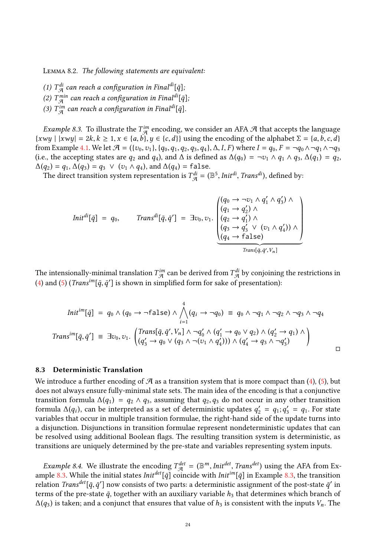Lemma 8.2. The following statements are equivalent:

- (1)  $T_{\mathcal{A}}^{di}$  can reach a configuration in Final<sup>di</sup>[ $\bar{q}$ ];<br>(2)  $T_{\mathcal{A}}^{min}$  can vecele a surfamention in Finaldita
- (2)  $T_{\mathcal{A}}^{min}$  can reach a configuration in Final<sup>di</sup>[ $\bar{q}$ ];<br>(2)  $T_{\mathcal{A}}^{im}$  connected a configuration in Finaldit =1
- (3)  $T_{\mathcal{A}}^{im}$  can reach a configuration in Final<sup>di</sup>[ $\bar{q}$ ].

<span id="page-23-0"></span>*Example 8.3.* To illustrate the  $T_{gq}^{im}$  encoding, we consider an AFA  $\mathcal{A}$  that accepts the language with language  $\mathcal{A}$  $\{xwy \mid |xwy| = 2k, k \ge 1, x \in \{a, b\}, y \in \{c, d\}\}\$ using the encoding of the alphabet  $\Sigma = \{a, b, c, d\}$ from Example [4.1.](#page-7-1) We let  $\mathcal{A} = (\{v_0, v_1\}, \{q_0, q_1, q_2, q_3, q_4\}, \Delta, I, F)$  where  $I = q_0, F = \neg q_0 \wedge \neg q_1 \wedge \neg q_3$ (i.e., the accepting states are  $q_2$  and  $q_4$ ), and  $\Delta$  is defined as  $\Delta(q_0) = \neg v_1 \wedge q_1 \wedge q_3$ ,  $\Delta(q_1) = q_2$ ,  $\Delta(q_2) = q_1, \Delta(q_3) = q_3 \vee (v_1 \wedge q_4)$ , and  $\Delta(q_4) = \text{false}$ .

The direct transition system representation is  $T_{\mathcal{A}}^{di} = (\mathbb{B}^5, Init^{di}, Trans^{di})$ , defined by:

$$
Init^{di}[\bar{q}] = q_0, \qquad Trans^{di}[\bar{q}, \bar{q}'] = \exists v_0, v_1. \begin{pmatrix} (q_0 \rightarrow \neg v_1 \land q'_1 \land q'_3) \land \\ (q_1 \rightarrow q'_2) \land \\ (q_2 \rightarrow q'_1) \land \\ (q_3 \rightarrow q'_3 \lor (v_1 \land q'_4)) \land \\ (q_4 \rightarrow false) \end{pmatrix}
$$

$$
Trans[\bar{q}, \bar{q}', v_n]
$$

The intensionally-minimal translation  $T_{\mathcal{A}}^{in}$  can be derived from  $T_{\mathcal{A}}^{di}$  by conjoining the restrictions in (4) and (5) (Trans<sup>im</sup> [5, 5'] is shown in simplified form for selse of presentation). [\(4\)](#page-22-2) and [\(5\)](#page-22-3) (*Trans<sup>im</sup>*[ $\bar{q}$ , $\bar{q}'$ ] is shown in simplified form for sake of presentation):

$$
Init^{im}[\bar{q}] = q_0 \wedge (q_0 \rightarrow \neg false) \wedge \bigwedge_{i=1}^4 (q_i \rightarrow \neg q_0) \equiv q_0 \wedge \neg q_1 \wedge \neg q_2 \wedge \neg q_3 \wedge \neg q_4
$$
  
\n
$$
Trans^{im}[\bar{q}, \bar{q}'] \equiv \exists v_0, v_1. \begin{pmatrix} Trans[\bar{q}, \bar{q}', V_n] \wedge \neg q'_0 \wedge (q'_1 \rightarrow q_0 \vee q_2) \wedge (q'_2 \rightarrow q_1) \wedge \\ (q'_3 \rightarrow q_0 \vee (q_3 \wedge \neg (v_1 \wedge q'_4))) \wedge (q'_4 \rightarrow q_3 \wedge \neg q'_3) \end{pmatrix}
$$

## <span id="page-23-1"></span>8.3 Deterministic Translation

We introduce a further encoding of  $\mathcal A$  as a transition system that is more compact than [\(4\)](#page-22-2), [\(5\)](#page-22-3), but does not always ensure fully-minimal state sets. The main idea of the encoding is that a conjunctive transition formula  $\Delta(q_1) = q_2 \wedge q_3$ , assuming that  $q_2, q_3$  do not occur in any other transition formula Δ(q<sub>i</sub>), can be interpreted as a set of deterministic updates  $q'_2 = q_1$ ;  $q'_3 = q_1$ . For state variables that occur in multiple transition formulae, the right-hand side of the undate turns into variables that occur in multiple transition formulae, the right-hand side of the update turns into a disjunction. Disjunctions in transition formulae represent nondeterministic updates that can be resolved using additional Boolean flags. The resulting transition system is deterministic, as transitions are uniquely determined by the pre-state and variables representing system inputs.

*Example 8.4.* We illustrate the encoding  $T_{\mathcal{A}}^{det} = (\mathbb{B}^m, \text{Init}^{det}, \text{Trans}^{det})$  using the AFA from Ex-<br>uple 8.3. While the initial states  $\text{Init}^{det}[\bar{a}]$  coincide with  $\text{Init}^{im}[\bar{a}]$  in Example 8.3, the transition ample [8.3.](#page-23-0) While the initial states  $Init^{det}[\bar{q}]$  coincide with  $Init^{im}[\bar{q}]$  in Example [8.3,](#page-23-0) the transition<br>relation Trans<sup>det</sup>  $[\bar{q}, \bar{q}']$  now consists of two parts; a deterministic assignment of the post-state  $\bar{q}'$  in relation *Trans<sup>det</sup>*[ $\bar{q}$ , $\bar{q}'$ ] now consists of two parts: a deterministic assignment of the post-state  $\bar{q}'$  in<br>terms of the pre-state  $\bar{q}$ , together with an auviliary variable  $h_2$ , that determines which br terms of the pre-state  $\bar{q}$ , together with an auxiliary variable  $h_3$  that determines which branch of  $\Delta(q_3)$  is taken; and a conjunct that ensures that value of  $h_3$  is consistent with the inputs  $V_n$ . The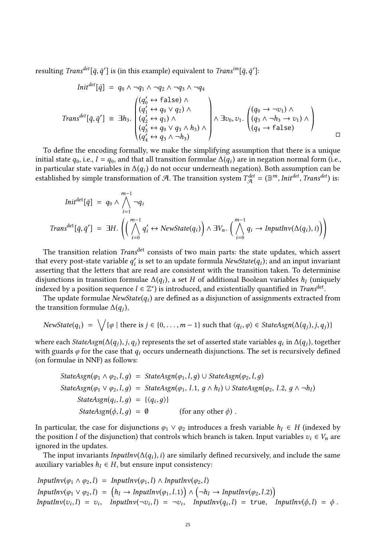resulting *Trans<sup>det</sup>*[ $\bar{q}, \bar{q}'$ ] is (in this example) equivalent to *Trans<sup>im</sup>*[ $\bar{q}, \bar{q}'$ ]:

$$
Init^{det}[\bar{q}] = q_0 \wedge \neg q_1 \wedge \neg q_2 \wedge \neg q_3 \wedge \neg q_4
$$
\n
$$
Trans^{det}[\bar{q}, \bar{q}'] = \exists h_3. \begin{pmatrix} (q'_0 \leftrightarrow false) \wedge \\ (q'_1 \leftrightarrow q_0 \vee q_2) \wedge \\ (q'_2 \leftrightarrow q_1) \wedge \\ (q'_3 \leftrightarrow q_0 \vee q_3 \wedge h_3) \wedge \\ (q'_4 \leftrightarrow q_3 \wedge \neg h_3) \end{pmatrix} \wedge \exists v_0, v_1. \begin{pmatrix} (q_0 \rightarrow \neg v_1) \wedge \\ (q_3 \wedge \neg h_3 \rightarrow v_1) \wedge \\ (q_4 \rightarrow false) \end{pmatrix}
$$

To define the encoding formally, we make the simplifying assumption that there is a unique initial state  $q_0$ , i.e.,  $I = q_0$ , and that all transition formulae  $\Delta(q_i)$  are in negation normal form (i.e., in particular state variables in  $\Delta(q_i)$  do not occur underneath negation). Both assumption can be in particular state variables in  $\Delta(q_i)$  do not occur underneath negation). Both assumption can be established by simple transformation of  $\mathcal{A}$ . The transition system  $T^{det} - (\mathbb{R}^m)$  Initiate Transfet) is: established by simple transformation of A. The transition system  $T^{det}_{\mathcal{A}} = (\mathbb{B}^m,Init^{det}, Trans^{det})$  is:

$$
Init^{det}[\bar{q}] = q_0 \wedge \bigwedge_{i=1}^{m-1} \neg q_i
$$
  
Trans<sup>det</sup>[\bar{q}, \bar{q}'] = \exists H. \left( \bigwedge\_{i=0}^{m-1} q\_i' \leftrightarrow NewState(q\_i) \bigwedge \exists V\_n. \bigwedge\_{i=0}^{m-1} q\_i \rightarrow InputInv(\Delta(q\_i), i) \big) \right)

The transition relation *Trans<sup>det</sup>* consists of two main parts: the state updates, which assert that every post-state variable  $q'_i$  is set to an update formula  $NewState(q_i)$ ; and an input invariant asserting that the letters that are read are consistent with the transition taken. To determinise asserting that the letters that are read are consistent with the transition taken. To determinise disjunctions in transition formulae  $\Delta(q_i)$ , a set H of additional Boolean variables  $h_l$  (uniquely indexed by a position sequence  $l \in \mathbb{Z}^*$ ) is introduced and existentially quantified in Trans<sup>det</sup> indexed by a position sequence  $l \in \mathbb{Z}^*$  is introduced, and existentially quantified in *Trans<sup>det</sup>*.<br>The undate formulae *NewState(a,)* are defined as a disjunction of assignments extracted

The update formulae  $NewState(q_i)$  are defined as a disjunction of assignments extracted from the transition formulae  $\Delta(q_j)$ ,

$$
NewState(q_i) = \bigvee \{ \varphi \mid \text{there is } j \in \{0, \ldots, m-1\} \text{ such that } \langle q_i, \varphi \rangle \in StateAgain(\Delta(q_j), j, q_j) \}
$$

where each *StateAsgn*( $\Delta(q_j)$ , *j*,  $q_j$ ) represents the set of asserted state variables  $q_i$  in  $\Delta(q_j)$ , together with guards  $q_i$  for the case that  $q_i$  occurs underneath disjunctions. The set is recursively defined with guards  $\varphi$  for the case that  $q_i$  occurs underneath disjunctions. The set is recursively defined (on formulae in NNF) as follows: (on formulae in NNF) as follows:

StateAsgn(
$$
\varphi_1 \wedge \varphi_2, l, g
$$
) = StateAsgn( $\varphi_1, l, g$ )  $\cup$  StateAsgn( $\varphi_2, l, g$ )  
StateAsgn( $\varphi_1 \vee \varphi_2, l, g$ ) = StateAsgn( $\varphi_1, l, 1, g \wedge h_l$ )  $\cup$  StateAsgn( $\varphi_2, l, 2, g \wedge \neg h_l$ )  
StateAsgn( $q_i, l, g$ ) = {{ $(q_i, g)}$ }  
StateAsgn( $\varphi, l, g$ ) = 0 (for any other  $\varphi$ ).

In particular, the case for disjunctions  $\varphi_1 \lor \varphi_2$  introduces a fresh variable  $h_l \in H$  (indexed by the position l of the disjunction) that controls which branch is taken. Input variables  $v_i \in V_n$  are ignored in the updates.

The input invariants *InputInv*( $\Delta(q_i)$ , *i*) are similarly defined recursively, and include the same viliary variables  $h_i \in H$  but ensure input consistency: auxiliary variables  $h_l \in H$ , but ensure input consistency:

$$
InputInv(\varphi_1 \land \varphi_2, l) = InputInv(\varphi_1, l) \land InputInv(\varphi_2, l)
$$
  
\n
$$
InputInv(\varphi_1 \lor \varphi_2, l) = (h_l \rightarrow InputInv(\varphi_1, l.1)) \land (\neg h_l \rightarrow InputInv(\varphi_2, l.2))
$$
  
\n
$$
InputInv(v_i, l) = v_i, InputInv(\neg v_i, l) = \neg v_i, InputInv(q_i, l) = true, InputInv(\varphi, l) = \varphi.
$$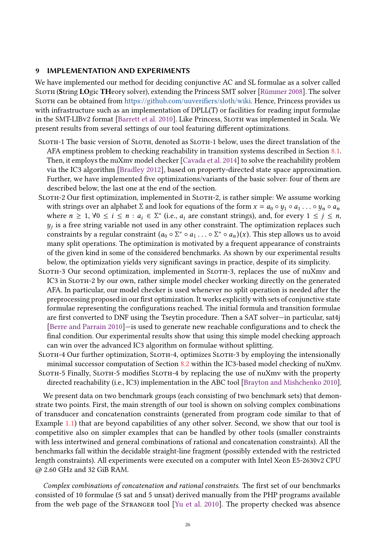## <span id="page-25-0"></span>9 IMPLEMENTATION AND EXPERIMENTS

We have implemented our method for deciding conjunctive AC and SL formulae as a solver called Sloth (String LOgic THeory solver), extending the Princess SMT solver [\[Rümmer](#page-30-20) [2008\]](#page-30-20). The solver Sloth can be obtained from [https://github.com/uuverifiers/sloth/wiki.](https://github.com/uuverifiers/sloth/wiki) Hence, Princess provides us with infrastructure such as an implementation of DPLL(T) or facilities for reading input formulae in the SMT-LIBv2 format [\[Barrett et al.](#page-28-12) [2010\]](#page-28-12). Like Princess, Sloth was implemented in Scala. We present results from several settings of our tool featuring different optimizations.

- SLOTH-1 The basic version of SLOTH, denoted as SLOTH-1 below, uses the direct translation of the AFA emptiness problem to checking reachability in transition systems described in Section [8.1.](#page-21-2) Then, it employs the nuXmv model checker [\[Cavada et al.](#page-29-19) [2014\]](#page-29-19) to solve the reachability problem via the IC3 algorithm [\[Bradley](#page-28-7) [2012\]](#page-28-7), based on property-directed state space approximation. Further, we have implemented five optimizations/variants of the basic solver: four of them are described below, the last one at the end of the section.
- Sloth-2 Our first optimization, implemented in Sloth-2, is rather simple: We assume working with strings over an alphabet  $\Sigma$  and look for equations of the form  $x = a_0 \circ y_1 \circ a_1 \dots \circ y_n \circ a_n$ where  $n \ge 1$ ,  $\forall 0 \le i \le n : a_i \in \Sigma^*$  (i.e.,  $a_i$  are constant strings), and, for every  $1 \le j \le n$ ,  $u_i$  is a free string variable not used in any other constraint. The ontimization replaces such constraints by a regular constraint  $(a_0 \circ \Sigma^* \circ a_1 \dots \circ \Sigma^* \circ a_n)(x)$ . This step allows us to avoid<br>many split operations. The optimization is motivated by a frequent appearance of constraints  $y_i$  is a free string variable not used in any other constraint. The optimization replaces such many split operations. The optimization is motivated by a frequent appearance of constraints of the given kind in some of the considered benchmarks. As shown by our experimental results below, the optimization yields very significant savings in practice, despite of its simplicity.
- SLOTH-3 Our second optimization, implemented in SLOTH-3, replaces the use of nuXmv and IC3 in Sloth-2 by our own, rather simple model checker working directly on the generated AFA. In particular, our model checker is used whenever no split operation is needed after the preprocessing proposed in our first optimization. It works explicitly with sets of conjunctive state formulae representing the configurations reached. The initial formula and transition formulae are first converted to DNF using the Tseytin procedure. Then a SAT solver—in particular, sat4j [\[Berre and Parrain](#page-28-13) [2010\]](#page-28-13)—is used to generate new reachable configurations and to check the final condition. Our experimental results show that using this simple model checking approach can win over the advanced IC3 algorithm on formulae without splitting.
- SLOTH-4 Our further optimization, SLOTH-4, optimizes SLOTH-3 by employing the intensionally minimal successor computation of Section [8.2](#page-22-4) within the IC3-based model checking of nuXmv. Sloth-5 Finally, Sloth-5 modifies Sloth-4 by replacing the use of nuXmv with the property

directed reachability (i.e., IC3) implementation in the ABC tool [\[Brayton and Mishchenko](#page-28-9) [2010\]](#page-28-9).

We present data on two benchmark groups (each consisting of two benchmark sets) that demonstrate two points. First, the main strength of our tool is shown on solving complex combinations of transducer and concatenation constraints (generated from program code similar to that of Example [1.1\)](#page-1-0) that are beyond capabilities of any other solver. Second, we show that our tool is competitive also on simpler examples that can be handled by other tools (smaller constraints with less intertwined and general combinations of rational and concatenation constraints). All the benchmarks fall within the decidable straight-line fragment (possibly extended with the restricted length constraints). All experiments were executed on a computer with Intel Xeon E5-2630v2 CPU @ 2.60 GHz and 32 GiB RAM.

Complex combinations of concatenation and rational constraints. The first set of our benchmarks consisted of 10 formulae (5 sat and 5 unsat) derived manually from the PHP programs available from the web page of the Stranger tool [\[Yu et al.](#page-31-1) [2010\]](#page-31-1). The property checked was absence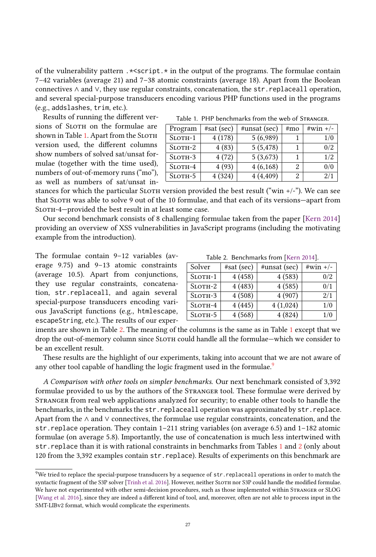of the vulnerability pattern  $.\times$ script. $*\$  in the output of the programs. The formulae contain 7–42 variables (average 21) and 7–38 atomic constraints (average 18). Apart from the Boolean connectives ∧ and ∨, they use regular constraints, concatenation, the str.replaceall operation, and several special-purpose transducers encoding various PHP functions used in the programs (e.g., addslashes, trim, etc.).

Results of running the different versions of SLOTH on the formulae are shown in Table [1.](#page-26-0) Apart from the SLOTH version used, the different columns show numbers of solved sat/unsat formulae (together with the time used), numbers of out-of-memory runs ("mo"), as well as numbers of sat/unsat in-

Table 1. PHP benchmarks from the web of Stranger.

<span id="page-26-0"></span>

| Program       | $#sat$ (sec) | #unsat (sec) | #mo | $\#win +/-$ |
|---------------|--------------|--------------|-----|-------------|
| $S$ LOTH-1    | 4(178)       | 5(6,989)     |     | 1/0         |
| $S$ LOTH- $2$ | 4(83)        | 5(5, 478)    |     | 0/2         |
| SLOTH-3       | 4(72)        | 5(3,673)     |     | 1/2         |
| $S$ LOTH-4    | 4(93)        | 4(6,168)     |     | 0/0         |
| SLOTH-5       | 4(324)       | 4(4,409)     |     | 2/1         |

stances for which the particular SLOTH version provided the best result ("win  $+/-$ "). We can see that Sloth was able to solve 9 out of the 10 formulae, and that each of its versions—apart from SLOTH-4—provided the best result in at least some case.

Our second benchmark consists of 8 challenging formulae taken from the paper [\[Kern](#page-29-13) [2014\]](#page-29-13) providing an overview of XSS vulnerabilities in JavaScript programs (including the motivating example from the introduction).

The formulae contain 9–12 variables (average 9.75) and 9–13 atomic constraints (average 10.5). Apart from conjunctions, they use regular constraints, concatenation, str.replaceall, and again several special-purpose transducers encoding various JavaScript functions (e.g., htmlescape, escapeString, etc.). The results of our exper-

Table 2. Benchmarks from [\[Kern](#page-29-13) [2014\]](#page-29-13).

<span id="page-26-1"></span>

| Solver        | $#sat$ (sec) | #unsat (sec) | $\#win +/-$ |
|---------------|--------------|--------------|-------------|
| $S$ LOTH $-1$ | 4(458)       | 4(583)       | 0/2         |
| $S$ LOTH $-2$ | 4(483)       | 4(585)       | 0/1         |
| SLOTH-3       | 4(508)       | 4(907)       | 2/1         |
| $S$ LOTH-4    | 4(445)       | 4(1,024)     | 1/0         |
| $S$ LOTH $-5$ | 4(568)       | 4(824)       | 1/0         |

iments are shown in Table [2.](#page-26-1) The meaning of the columns is the same as in Table [1](#page-26-0) except that we drop the out-of-memory column since SLOTH could handle all the formulae—which we consider to be an excellent result.

These results are the highlight of our experiments, taking into account that we are not aware of any other tool capable of handling the logic fragment used in the formulae.<sup>[9](#page-26-2)</sup>

A Comparison with other tools on simpler benchmarks. Our next benchmark consisted of 3,392 formulae provided to us by the authors of the Stranger tool. These formulae were derived by Stranger from real web applications analyzed for security; to enable other tools to handle the benchmarks, in the benchmarks the str.replaceall operation was approximated by str.replace. Apart from the ∧ and ∨ connectives, the formulae use regular constraints, concatenation, and the str.replace operation. They contain 1–211 string variables (on average 6.5) and 1–182 atomic formulae (on average 5.8). Importantly, the use of concatenation is much less intertwined with str.replace than it is with rational constraints in benchmarks from Tables [1](#page-26-0) and [2](#page-26-1) (only about 120 from the 3,392 examples contain str.replace). Results of experiments on this benchmark are

<span id="page-26-2"></span><sup>&</sup>lt;sup>9</sup>We tried to replace the special-purpose transducers by a sequence of  $str$ . replaceall operations in order to match the syntactic fragment of the S3P solver [\[Trinh et al.](#page-30-10) [2016\]](#page-30-10). However, neither Sloth nor S3P could handle the modified formulae. We have not experimented with other semi-decision procedures, such as those implemented within STRANGER or SLOG [\[Wang et al.](#page-30-17) [2016\]](#page-30-17), since they are indeed a different kind of tool, and, moreover, often are not able to process input in the SMT-LIBv2 format, which would complicate the experiments.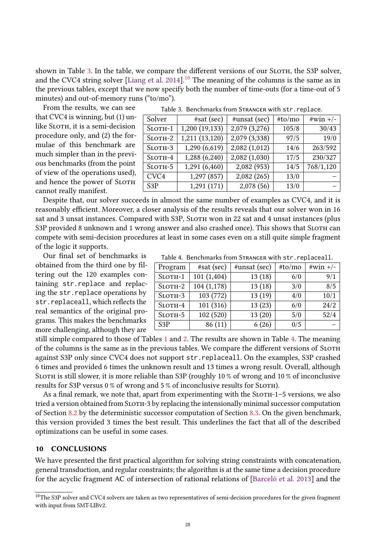shown in Table [3.](#page-27-1) In the table, we compare the different versions of our SLOTH, the S3P solver, and the CVC4 string solver [\[Liang et al.](#page-30-5)  $2014$ ].<sup>[10](#page-27-2)</sup> The meaning of the columns is the same as in the previous tables, except that we now specify both the number of time-outs (for a time-out of 5 minutes) and out-of-memory runs ("to/mo").

From the results, we can see that CVC4 is winning, but (1) unlike SLOTH, it is a semi-decision procedure only, and (2) the formulae of this benchmark are much simpler than in the previous benchmarks (from the point of view of the operations used), and hence the power of SLOTH cannot really manifest.

<span id="page-27-1"></span>

| Table 3. Benchmarks from STRANGER with str. replace. |                |               |        |            |
|------------------------------------------------------|----------------|---------------|--------|------------|
| Solver                                               | #sat (sec)     | #unsat (sec)  | #to/mo | $#win +/-$ |
| $S$ LOTH-1                                           | 1,200(19,133)  | 2,079 (3,276) | 105/8  | 30/43      |
| $S$ LOTH $-2$                                        | 1,211 (13,120) | 2,079 (3,338) | 97/5   | 19/0       |
| $S$ LOTH $-3$                                        | 1,290 (6,619)  | 2,082 (1,012) | 14/6   | 263/592    |
| $S$ LOTH-4                                           | 1,288 (6,240)  | 2,082(1,030)  | 17/5   | 230/327    |
| $S$ LOTH $-5$                                        | 1,291 (6,460)  | 2,082 (953)   | 14/5   | 768/1,120  |
| CVC4                                                 | 1,297 (857)    | 2,082 (265)   | 13/0   |            |
| S3P                                                  | 1,291(171)     | 2,078(56)     | 13/0   |            |

Despite that, our solver succeeds in almost the same number of examples as CVC4, and it is reasonably efficient. Moreover, a closer analysis of the results reveals that our solver won in 16 sat and 3 unsat instances. Compared with S3P, SLOTH won in 22 sat and 4 unsat instances (plus S3P provided 8 unknown and 1 wrong answer and also crashed once). This shows that SLOTH can compete with semi-decision procedures at least in some cases even on a still quite simple fragment of the logic it supports.

Our final set of benchmarks is obtained from the third one by filtering out the 120 examples containing str.replace and replacing the str.replace operations by str.replaceall, which reflects the real semantics of the original programs. This makes the benchmarks more challenging, although they are

still simple compared to those of Tables [1](#page-26-0) and [2.](#page-26-1) The results are shown in Table [4.](#page-27-3) The meaning of the columns is the same as in the previous tables. We compare the different versions of Sloth against S3P only since CVC4 does not support str.replaceall. On the examples, S3P crashed 6 times and provided 6 times the unknown result and 13 times a wrong result. Overall, although Sloth is still slower, it is more reliable than S3P (roughly 10 % of wrong and 10 % of inconclusive results for S3P versus 0 % of wrong and 5 % of inconclusive results for SLOTH).

As a final remark, we note that, apart from experimenting with the SLOTH-1-5 versions, we also tried a version obtained from SLOTH-3 by replacing the intensionally minimal successor computation of Section [8.2](#page-22-4) by the deterministic successor computation of Section [8.3.](#page-23-1) On the given benchmark, this version provided 3 times the best result. This underlines the fact that all of the described optimizations can be useful in some cases.

## <span id="page-27-0"></span>10 CONCLUSIONS

We have presented the first practical algorithm for solving string constraints with concatenation, general transduction, and regular constraints; the algorithm is at the same time a decision procedure for the acyclic fragment AC of intersection of rational relations of [\[Barceló et al.](#page-28-6) [2013\]](#page-28-6) and the

28

| Table 4. Benchmarks from STRANGER with str. replaceall. |  |
|---------------------------------------------------------|--|
|---------------------------------------------------------|--|

<span id="page-27-3"></span>

| Program          | $#sat$ (sec) | #unsat (sec) | #to/mo | $#win +/-$ |
|------------------|--------------|--------------|--------|------------|
| $S$ LOTH-1       | 101(1,404)   | 13(18)       | 6/0    | 9/1        |
| $S$ LOTH $-2$    | 104(1,178)   | 13(18)       | 3/0    | 8/5        |
| SLOTH-3          | 103 (772)    | 13(19)       | 4/0    | 10/1       |
| $S$ LOTH-4       | 101(316)     | 13(23)       | 6/0    | 24/2       |
| $S$ LOTH $-5$    | 102(520)     | 13(20)       | 5/0    | 52/4       |
| S <sub>3</sub> P | 86(11)       | 6(26)        | 0/5    |            |

<span id="page-27-2"></span> $^{10}\rm{The}$  S3P solver and CVC4 solvers are taken as two representatives of semi-decision procedures for the given fragment with input from SMT-LIBv2.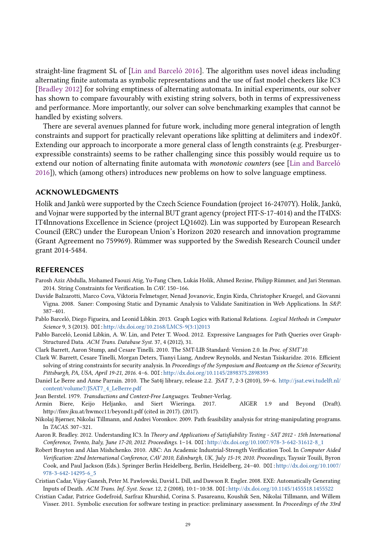straight-line fragment SL of [\[Lin and Barceló](#page-30-8) [2016\]](#page-30-8). The algorithm uses novel ideas including alternating finite automata as symbolic representations and the use of fast model checkers like IC3 [\[Bradley](#page-28-7) [2012\]](#page-28-7) for solving emptiness of alternating automata. In initial experiments, our solver has shown to compare favourably with existing string solvers, both in terms of expressiveness and performance. More importantly, our solver can solve benchmarking examples that cannot be handled by existing solvers.

There are several avenues planned for future work, including more general integration of length constraints and support for practically relevant operations like splitting at delimiters and indexOf. Extending our approach to incorporate a more general class of length constraints (e.g. Presburgerexpressible constraints) seems to be rather challenging since this possibly would require us to extend our notion of alternating finite automata with monotonic counters (see [\[Lin and Barceló](#page-30-8) [2016\]](#page-30-8)), which (among others) introduces new problems on how to solve language emptiness.

## ACKNOWLEDGMENTS

Holík and Janků were supported by the Czech Science Foundation (project 16-24707Y). Holík, Janků, and Vojnar were supported by the internal BUT grant agency (project FIT-S-17-4014) and the IT4IXS: IT4Innovations Excellence in Science (project LQ1602). Lin was supported by European Research Council (ERC) under the European Union's Horizon 2020 research and innovation programme (Grant Agreement no 759969). Rümmer was supported by the Swedish Research Council under grant 2014-5484.

## REFERENCES

- <span id="page-28-3"></span>Parosh Aziz Abdulla, Mohamed Faouzi Atig, Yu-Fang Chen, Lukás Holík, Ahmed Rezine, Philipp Rümmer, and Jari Stenman. 2014. String Constraints for Verification. In CAV. 150–166.
- <span id="page-28-4"></span>Davide Balzarotti, Marco Cova, Viktoria Felmetsger, Nenad Jovanovic, Engin Kirda, Christopher Kruegel, and Giovanni Vigna. 2008. Saner: Composing Static and Dynamic Analysis to Validate Sanitization in Web Applications. In S&P. 387–401.
- <span id="page-28-6"></span>Pablo Barceló, Diego Figueira, and Leonid Libkin. 2013. Graph Logics with Rational Relations. Logical Methods in Computer Science 9, 3 (2013). DOI:[http://dx.doi.org/10.2168/LMCS-9\(3:1\)2013](http://dx.doi.org/10.2168/LMCS-9(3:1)2013)
- <span id="page-28-10"></span>Pablo Barceló, Leonid Libkin, A. W. Lin, and Peter T. Wood. 2012. Expressive Languages for Path Queries over Graph-Structured Data. ACM Trans. Database Syst. 37, 4 (2012), 31.
- <span id="page-28-12"></span>Clark Barrett, Aaron Stump, and Cesare Tinelli. 2010. The SMT-LIB Standard: Version 2.0. In Proc. of SMT'10.
- <span id="page-28-5"></span>Clark W. Barrett, Cesare Tinelli, Morgan Deters, Tianyi Liang, Andrew Reynolds, and Nestan Tsiskaridze. 2016. Efficient solving of string constraints for security analysis. In Proceedings of the Symposium and Bootcamp on the Science of Security, Pittsburgh, PA, USA, April 19-21, 2016. 4-6. DOI:<http://dx.doi.org/10.1145/2898375.2898393>
- <span id="page-28-13"></span>Daniel Le Berre and Anne Parrain. 2010. The Sat4j library, release 2.2. JSAT 7, 2-3 (2010), 59–6. [http://jsat.ewi.tudelft.nl/](http://jsat.ewi.tudelft.nl/content/volume7/JSAT7_4_LeBerre.pdf) [content/volume7/JSAT7\\_4\\_LeBerre.pdf](http://jsat.ewi.tudelft.nl/content/volume7/JSAT7_4_LeBerre.pdf)
- <span id="page-28-8"></span>Jean Berstel. 1979. Transductions and Context-Free Languages. Teubner-Verlag.
- <span id="page-28-11"></span>Armin Biere, Keijo Heljanko, and Siert Wieringa. 2017. AIGER 1.9 and Beyond (Draft). http://fmv.jku.at/hwmcc11/beyond1.pdf (cited in 2017). (2017).
- <span id="page-28-0"></span>Nikolaj Bjørner, Nikolai Tillmann, and Andrei Voronkov. 2009. Path feasibility analysis for string-manipulating programs. In TACAS. 307–321.
- <span id="page-28-7"></span>Aaron R. Bradley. 2012. Understanding IC3. In Theory and Applications of Satisfiability Testing - SAT 2012 - 15th International Conference, Trento, Italy, June 17-20, 2012. Proceedings. 1–14. DOI:[http://dx.doi.org/10.1007/978-3-642-31612-8\\_1](http://dx.doi.org/10.1007/978-3-642-31612-8_1)
- <span id="page-28-9"></span>Robert Brayton and Alan Mishchenko. 2010. ABC: An Academic Industrial-Strength Verification Tool. In Computer Aided Verification: 22nd International Conference, CAV 2010, Edinburgh, UK, July 15-19, 2010. Proceedings, Tayssir Touili, Byron Cook, and Paul Jackson (Eds.). Springer Berlin Heidelberg, Berlin, Heidelberg, 24–40. DOI:[http://dx.doi.org/10.1007/](http://dx.doi.org/10.1007/978-3-642-14295-6_5) [978-3-642-14295-6\\_5](http://dx.doi.org/10.1007/978-3-642-14295-6_5)
- <span id="page-28-1"></span>Cristian Cadar, Vijay Ganesh, Peter M. Pawlowski, David L. Dill, and Dawson R. Engler. 2008. EXE: Automatically Generating Inputs of Death. ACM Trans. Inf. Syst. Secur. 12, 2 (2008), 10:1–10:38. DOI:<http://dx.doi.org/10.1145/1455518.1455522>
- <span id="page-28-2"></span>Cristian Cadar, Patrice Godefroid, Sarfraz Khurshid, Corina S. Pasareanu, Koushik Sen, Nikolai Tillmann, and Willem Visser. 2011. Symbolic execution for software testing in practice: preliminary assessment. In Proceedings of the 33rd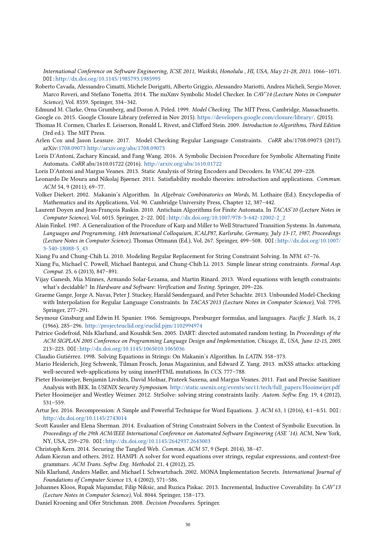International Conference on Software Engineering, ICSE 2011, Waikiki, Honolulu , HI, USA, May 21-28, 2011. 1066–1071. DOI:<http://dx.doi.org/10.1145/1985793.1985995>

<span id="page-29-19"></span>Roberto Cavada, Alessandro Cimatti, Michele Dorigatti, Alberto Griggio, Alessandro Mariotti, Andrea Micheli, Sergio Mover, Marco Roveri, and Stefano Tonetta. 2014. The nuXmv Symbolic Model Checker. In CAV'14 (Lecture Notes in Computer Science), Vol. 8559. Springer, 334–342.

<span id="page-29-24"></span><span id="page-29-14"></span>Edmund M. Clarke, Orna Grumberg, and Doron A. Peled. 1999. Model Checking. The MIT Press, Cambridge, Massachusetts. Google co. 2015. Google Closure Library (referred in Nov 2015). [https://developers.google.com/closure/library/.](https://developers.google.com/closure/library/) (2015).

<span id="page-29-22"></span>Thomas H. Cormen, Charles E. Leiserson, Ronald L. Rivest, and Clifford Stein. 2009. Introduction to Algorithms, Third Edition (3rd ed.). The MIT Press.

- <span id="page-29-18"></span>Arlen Cox and Jason Leasure. 2017. Model Checking Regular Language Constraints. CoRR abs/1708.09073 (2017). arXiv[:1708.09073](http://arxiv.org/abs/1708.09073) <http://arxiv.org/abs/1708.09073>
- <span id="page-29-16"></span>Loris D'Antoni, Zachary Kincaid, and Fang Wang. 2016. A Symbolic Decision Procedure for Symbolic Alternating Finite Automata. CoRR abs/1610.01722 (2016). <http://arxiv.org/abs/1610.01722>

<span id="page-29-2"></span>Loris D'Antoni and Margus Veanes. 2013. Static Analysis of String Encoders and Decoders. In VMCAI. 209–228.

- <span id="page-29-9"></span>Leonardo De Moura and Nikolaj Bjørner. 2011. Satisfiability modulo theories: introduction and applications. Commun. ACM 54, 9 (2011), 69–77.
- <span id="page-29-10"></span>Volker Diekert. 2002. Makanin's Algorithm. In Algebraic Combinatorics on Words, M. Lothaire (Ed.). Encyclopedia of Mathematics and its Applications, Vol. 90. Cambridge University Press, Chapter 12, 387–442.
- <span id="page-29-26"></span>Laurent Doyen and Jean-François Raskin. 2010. Antichain Algorithms for Finite Automata. In TACAS'10 (Lecture Notes in Computer Science), Vol. 6015. Springer, 2–22. DOI:[http://dx.doi.org/10.1007/978-3-642-12002-2\\_2](http://dx.doi.org/10.1007/978-3-642-12002-2_2)
- <span id="page-29-25"></span>Alain Finkel. 1987. A Generalization of the Procedure of Karp and Miller to Well Structured Transition Systems. In Automata, Languages and Programming, 14th International Colloquium, ICALP87, Karlsruhe, Germany, July 13-17, 1987, Proceedings (Lecture Notes in Computer Science), Thomas Ottmann (Ed.), Vol. 267. Springer, 499–508. DOI:[http://dx.doi.org/10.1007/](http://dx.doi.org/10.1007/3-540-18088-5_43) [3-540-18088-5\\_43](http://dx.doi.org/10.1007/3-540-18088-5_43)

<span id="page-29-3"></span>Xiang Fu and Chung-Chih Li. 2010. Modeling Regular Replacement for String Constraint Solving. In NFM. 67–76.

- <span id="page-29-4"></span>Xiang Fu, Michael C. Powell, Michael Bantegui, and Chung-Chih Li. 2013. Simple linear string constraints. Formal Asp. Comput. 25, 6 (2013), 847–891.
- <span id="page-29-5"></span>Vijay Ganesh, Mia Minnes, Armando Solar-Lezama, and Martin Rinard. 2013. Word equations with length constraints: what's decidable? In Hardware and Software: Verification and Testing. Springer, 209–226.
- <span id="page-29-23"></span>Graeme Gange, Jorge A. Navas, Peter J. Stuckey, Harald Søndergaard, and Peter Schachte. 2013. Unbounded Model-Checking with Interpolation for Regular Language Constraints. In TACAS'2013 (Lecture Notes in Computer Science), Vol. 7795. Springer, 277–291.
- <span id="page-29-20"></span>Seymour Ginsburg and Edwin H. Spanier. 1966. Semigroups, Presburger formulas, and languages. Pacific J. Math. 16, 2 (1966), 285–296. <http://projecteuclid.org/euclid.pjm/1102994974>
- <span id="page-29-0"></span>Patrice Godefroid, Nils Klarlund, and Koushik Sen. 2005. DART: directed automated random testing. In Proceedings of the ACM SIGPLAN 2005 Conference on Programming Language Design and Implementation, Chicago, IL, USA, June 12-15, 2005. 213–223. DOI:<http://dx.doi.org/10.1145/1065010.1065036>

<span id="page-29-11"></span>Claudio Gutiérrez. 1998. Solving Equations in Strings: On Makanin's Algorithm. In LATIN. 358–373.

- <span id="page-29-15"></span>Mario Heiderich, Jörg Schwenk, Tilman Frosch, Jonas Magazinius, and Edward Z. Yang. 2013. mXSS attacks: attacking well-secured web-applications by using innerHTML mutations. In CCS. 777–788.
- <span id="page-29-6"></span>Pieter Hooimeijer, Benjamin Livshits, David Molnar, Prateek Saxena, and Margus Veanes. 2011. Fast and Precise Sanitizer Analysis with BEK. In USENIX Security Symposium. [http://static.usenix.org/events/sec11/tech/full\\_papers/Hooimeijer.pdf](http://static.usenix.org/events/sec11/tech/full_papers/Hooimeijer.pdf)
- <span id="page-29-7"></span>Pieter Hooimeijer and Westley Weimer. 2012. StrSolve: solving string constraints lazily. Autom. Softw. Eng. 19, 4 (2012), 531–559.
- <span id="page-29-12"></span>Artur Jez. 2016. Recompression: A Simple and Powerful Technique for Word Equations. J. ACM 63, 1 (2016), 4:1–4:51. DOI: <http://dx.doi.org/10.1145/2743014>
- <span id="page-29-1"></span>Scott Kausler and Elena Sherman. 2014. Evaluation of String Constraint Solvers in the Context of Symbolic Execution. In Proceedings of the 29th ACM/IEEE International Conference on Automated Software Engineering (ASE '14). ACM, New York, NY, USA, 259–270. DOI:<http://dx.doi.org/10.1145/2642937.2643003>

<span id="page-29-13"></span>Christoph Kern. 2014. Securing the Tangled Web. Commun. ACM 57, 9 (Sept. 2014), 38–47.

- <span id="page-29-8"></span>Adam Kiezun and others. 2012. HAMPI: A solver for word equations over strings, regular expressions, and context-free grammars. ACM Trans. Softw. Eng. Methodol. 21, 4 (2012), 25.
- <span id="page-29-17"></span>Nils Klarlund, Anders Møller, and Michael I. Schwartzbach. 2002. MONA Implementation Secrets. International Journal of Foundations of Computer Science 13, 4 (2002), 571–586.
- <span id="page-29-27"></span>Johannes Kloos, Rupak Majumdar, Filip Niksic, and Ruzica Piskac. 2013. Incremental, Inductive Coverability. In CAV'13 (Lecture Notes in Computer Science), Vol. 8044. Springer, 158–173.
- <span id="page-29-21"></span>Daniel Kroening and Ofer Strichman. 2008. Decision Procedures. Springer.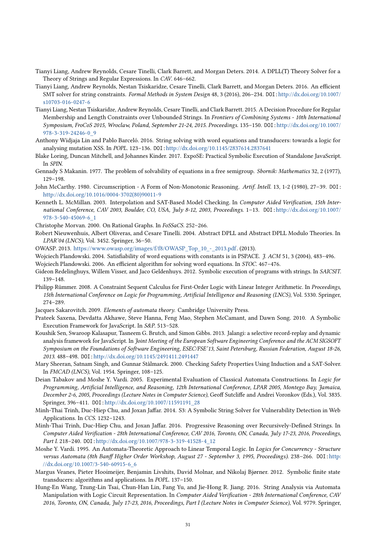- <span id="page-30-5"></span>Tianyi Liang, Andrew Reynolds, Cesare Tinelli, Clark Barrett, and Morgan Deters. 2014. A DPLL(T) Theory Solver for a Theory of Strings and Regular Expressions. In CAV. 646–662.
- <span id="page-30-6"></span>Tianyi Liang, Andrew Reynolds, Nestan Tsiskaridze, Cesare Tinelli, Clark Barrett, and Morgan Deters. 2016. An efficient SMT solver for string constraints. Formal Methods in System Design 48, 3 (2016), 206–234. DOI:[http://dx.doi.org/10.1007/](http://dx.doi.org/10.1007/s10703-016-0247-6) [s10703-016-0247-6](http://dx.doi.org/10.1007/s10703-016-0247-6)
- <span id="page-30-7"></span>Tianyi Liang, Nestan Tsiskaridze, Andrew Reynolds, Cesare Tinelli, and Clark Barrett. 2015. A Decision Procedure for Regular Membership and Length Constraints over Unbounded Strings. In Frontiers of Combining Systems - 10th International Symposium, FroCoS 2015, Wroclaw, Poland, September 21-24, 2015. Proceedings. 135–150. DOI:[http://dx.doi.org/10.1007/](http://dx.doi.org/10.1007/978-3-319-24246-0_9) [978-3-319-24246-0\\_9](http://dx.doi.org/10.1007/978-3-319-24246-0_9)
- <span id="page-30-8"></span>Anthony Widjaja Lin and Pablo Barceló. 2016. String solving with word equations and transducers: towards a logic for analysing mutation XSS. In POPL. 123–136. DOI:<http://dx.doi.org/10.1145/2837614.2837641>
- <span id="page-30-1"></span>Blake Loring, Duncan Mitchell, and Johannes Kinder. 2017. ExpoSE: Practical Symbolic Execution of Standalone JavaScript. In SPIN.
- <span id="page-30-12"></span>Gennady S Makanin. 1977. The problem of solvability of equations in a free semigroup. Sbornik: Mathematics 32, 2 (1977), 129–198.
- <span id="page-30-24"></span>John McCarthy. 1980. Circumscription - A Form of Non-Monotonic Reasoning. Artif. Intell. 13, 1-2 (1980), 27–39. DOI: [http://dx.doi.org/10.1016/0004-3702\(80\)90011-9](http://dx.doi.org/10.1016/0004-3702(80)90011-9)
- <span id="page-30-19"></span>Kenneth L. McMillan. 2003. Interpolation and SAT-Based Model Checking. In Computer Aided Verification, 15th International Conference, CAV 2003, Boulder, CO, USA, July 8-12, 2003, Proceedings. 1–13. DOI:[http://dx.doi.org/10.1007/](http://dx.doi.org/10.1007/978-3-540-45069-6_1) [978-3-540-45069-6\\_1](http://dx.doi.org/10.1007/978-3-540-45069-6_1)
- <span id="page-30-21"></span>Christophe Morvan. 2000. On Rational Graphs. In FoSSaCS. 252–266.
- <span id="page-30-22"></span>Robert Nieuwenhuis, Albert Oliveras, and Cesare Tinelli. 2004. Abstract DPLL and Abstract DPLL Modulo Theories. In LPAR'04 (LNCS), Vol. 3452. Springer, 36–50.
- <span id="page-30-0"></span>OWASP. 2013. [https://www.owasp.org/images/f/f8/OWASP\\_Top\\_10\\_-\\_2013.pdf.](https://www.owasp.org/images/f/f8/OWASP_Top_10_-_2013.pdf) (2013).
- <span id="page-30-13"></span>Wojciech Plandowski. 2004. Satisfiability of word equations with constants is in PSPACE. J. ACM 51, 3 (2004), 483-496.
- <span id="page-30-14"></span>Wojciech Plandowski. 2006. An efficient algorithm for solving word equations. In STOC. 467–476.
- <span id="page-30-2"></span>Gideon Redelinghuys, Willem Visser, and Jaco Geldenhuys. 2012. Symbolic execution of programs with strings. In SAICSIT. 139–148.
- <span id="page-30-20"></span>Philipp Rümmer. 2008. A Constraint Sequent Calculus for First-Order Logic with Linear Integer Arithmetic. In Proceedings, 15th International Conference on Logic for Programming, Artificial Intelligence and Reasoning (LNCS), Vol. 5330. Springer, 274–289.
- <span id="page-30-16"></span>Jacques Sakarovitch. 2009. Elements of automata theory. Cambridge University Press.
- <span id="page-30-3"></span>Prateek Saxena, Devdatta Akhawe, Steve Hanna, Feng Mao, Stephen McCamant, and Dawn Song. 2010. A Symbolic Execution Framework for JavaScript. In S&P. 513–528.
- <span id="page-30-4"></span>Koushik Sen, Swaroop Kalasapur, Tasneem G. Brutch, and Simon Gibbs. 2013. Jalangi: a selective record-replay and dynamic analysis framework for JavaScript. In Joint Meeting of the European Software Engineering Conference and the ACM SIGSOFT Symposium on the Foundations of Software Engineering, ESEC/FSE'13, Saint Petersburg, Russian Federation, August 18-26, 2013. 488–498. DOI:<http://dx.doi.org/10.1145/2491411.2491447>
- <span id="page-30-18"></span>Mary Sheeran, Satnam Singh, and Gunnar Stålmarck. 2000. Checking Safety Properties Using Induction and a SAT-Solver. In FMCAD (LNCS), Vol. 1954. Springer, 108–125.
- <span id="page-30-23"></span>Deian Tabakov and Moshe Y. Vardi. 2005. Experimental Evaluation of Classical Automata Constructions. In Logic for Programming, Artificial Intelligence, and Reasoning, 12th International Conference, LPAR 2005, Montego Bay, Jamaica, December 2-6, 2005, Proceedings (Lecture Notes in Computer Science), Geoff Sutcliffe and Andrei Voronkov (Eds.), Vol. 3835. Springer, 396–411. DOI:[http://dx.doi.org/10.1007/11591191\\_28](http://dx.doi.org/10.1007/11591191_28)
- <span id="page-30-9"></span>Minh-Thai Trinh, Duc-Hiep Chu, and Joxan Jaffar. 2014. S3: A Symbolic String Solver for Vulnerability Detection in Web Applications. In CCS. 1232–1243.
- <span id="page-30-10"></span>Minh-Thai Trinh, Duc-Hiep Chu, and Joxan Jaffar. 2016. Progressive Reasoning over Recursively-Defined Strings. In Computer Aided Verification - 28th International Conference, CAV 2016, Toronto, ON, Canada, July 17-23, 2016, Proceedings, Part I. 218–240. DOI:[http://dx.doi.org/10.1007/978-3-319-41528-4\\_12](http://dx.doi.org/10.1007/978-3-319-41528-4_12)
- <span id="page-30-15"></span>Moshe Y. Vardi. 1995. An Automata-Theoretic Approach to Linear Temporal Logic. In Logics for Concurrency - Structure versus Automata (8th Banff Higher Order Workshop, August 27 - September 3, 1995, Proceedings). 238–266. DOI:[http:](http://dx.doi.org/10.1007/3-540-60915-6_6) [//dx.doi.org/10.1007/3-540-60915-6\\_6](http://dx.doi.org/10.1007/3-540-60915-6_6)
- <span id="page-30-11"></span>Margus Veanes, Pieter Hooimeijer, Benjamin Livshits, David Molnar, and Nikolaj Bjørner. 2012. Symbolic finite state transducers: algorithms and applications. In POPL. 137–150.
- <span id="page-30-17"></span>Hung-En Wang, Tzung-Lin Tsai, Chun-Han Lin, Fang Yu, and Jie-Hong R. Jiang. 2016. String Analysis via Automata Manipulation with Logic Circuit Representation. In Computer Aided Verification - 28th International Conference, CAV 2016, Toronto, ON, Canada, July 17-23, 2016, Proceedings, Part I (Lecture Notes in Computer Science), Vol. 9779. Springer,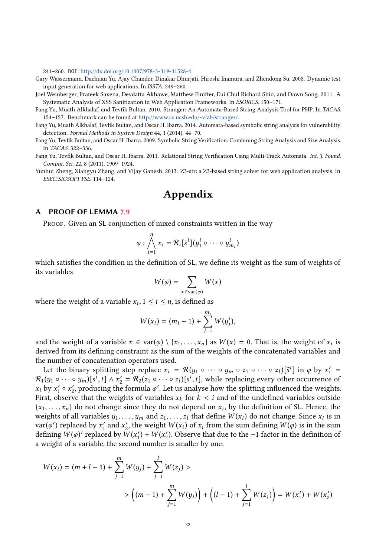241–260. DOI:<http://dx.doi.org/10.1007/978-3-319-41528-4>

- <span id="page-31-0"></span>Gary Wassermann, Dachuan Yu, Ajay Chander, Dinakar Dhurjati, Hiroshi Inamura, and Zhendong Su. 2008. Dynamic test input generation for web applications. In ISSTA. 249–260.
- <span id="page-31-6"></span>Joel Weinberger, Prateek Saxena, Devdatta Akhawe, Matthew Finifter, Eui Chul Richard Shin, and Dawn Song. 2011. A Systematic Analysis of XSS Sanitization in Web Application Frameworks. In ESORICS. 150–171.
- <span id="page-31-1"></span>Fang Yu, Muath Alkhalaf, and Tevfik Bultan. 2010. Stranger: An Automata-Based String Analysis Tool for PHP. In TACAS. 154–157. Benchmark can be found at [http://www.cs.ucsb.edu/~vlab/stranger/.](http://www.cs.ucsb.edu/~vlab/stranger/)
- <span id="page-31-2"></span>Fang Yu, Muath Alkhalaf, Tevfik Bultan, and Oscar H. Ibarra. 2014. Automata-based symbolic string analysis for vulnerability detection. Formal Methods in System Design 44, 1 (2014), 44–70.
- <span id="page-31-3"></span>Fang Yu, Tevfik Bultan, and Oscar H. Ibarra. 2009. Symbolic String Verification: Combining String Analysis and Size Analysis. In TACAS. 322–336.
- <span id="page-31-4"></span>Fang Yu, Tevfik Bultan, and Oscar H. Ibarra. 2011. Relational String Verification Using Multi-Track Automata. Int. J. Found. Comput. Sci. 22, 8 (2011), 1909–1924.
- <span id="page-31-5"></span>Yunhui Zheng, Xiangyu Zhang, and Vijay Ganesh. 2013. Z3-str: a Z3-based string solver for web application analysis. In ESEC/SIGSOFT FSE. 114–124.

## Appendix

## A PROOF OF LEMMA [7.9](#page-19-0)

PROOF. Given an SL conjunction of mixed constraints written in the way

$$
\varphi : \bigwedge_{i=1}^{n} x_i = \mathcal{R}_i[\bar{s}^i](y_1^i \circ \cdots \circ y_{m_i}^i)
$$

which satisfies the condition in the definition of SL, we define its weight as the sum of weights of its variables

$$
W(\varphi) = \sum_{x \in \text{var}(\varphi)} W(x)
$$

where the weight of a variable  $x_i$ ,  $1 \le i \le n$ , is defined as

$$
W(x_i) = (m_i - 1) + \sum_{j=1}^{m_i} W(y_j^i),
$$

and the weight of a variable  $x \in \text{var}(\varphi) \setminus \{x_1, \ldots, x_n\}$  as  $W(x) = 0$ . That is, the weight of  $x_i$  is derived from its defining constraint as the sum of the weights of the concatenated variables and derived from its defining constraint as the sum of the weights of the concatenated variables and the number of concatenation operators used.

Let the binary splitting step replace  $x_i = \mathcal{R}(y_1 \circ \cdots \circ y_m \circ z_1 \circ \cdots \circ z_l)[\bar{s}^i]$  in  $\varphi$  by  $x'_1 = (y_1 \circ \cdots \circ y_{l-1})[\bar{s}^l] \circ \varphi$  or  $z_1 \circ \cdots \circ z_l$  $\mathcal{R}_1(y_1 \circ \cdots \circ y_m)[\bar{s}^i, \bar{t}] \wedge x_2' = \mathcal{R}_2(z_1 \circ \cdots \circ z_l)[\bar{s}^i, \bar{t}]$ , while replacing every other occurrence of  $x, y, y' \circ x'$  producing the formula  $\mathcal{A}'$ . Let us analyze how the splitting influenced the weights  $x_i$  by  $x'_i \circ x'_i$ , producing the formula  $\varphi'$ . Let us analyse how the splitting influenced the weights. First, observe that the weights of variables  $x_k$  for  $k < i$  and of the undefined variables outside  ${x_1, \ldots, x_n}$  do not change since they do not depend on  $x_i$ , by the definition of SL. Hence, the weights of all variables  $y_i$ ,  $y_i$  and  $z_i$ ,  $z_i$  that define  $W(x_i)$  do not change. Since x, is in weights of all variables  $y_1, \ldots, y_m$  and  $z_1, \ldots, z_l$  that define  $W(x_i)$  do not change. Since  $x_i$  is in  $\text{var}(a')$  replaced by  $x'$  and  $x'$  the weight  $W(x_i)$  of x, from the sum defining  $W(a)$  is in the sum  $var(\varphi')$  replaced by  $x'_1$  and  $x'_2$ , the weight  $W(x_i)$  of  $x_i$  from the sum defining  $W(\varphi)$  is in the sum defining  $W(\varphi)'$  replaced by  $W(x') + W(x')$  Observe that due to the -1 factor in the definition of defining  $\hat{W}(\varphi)'$  replaced by  $\hat{W}(x'_1) + \hat{W}(x'_2)$ . Observe that due to the −1 factor in the definition of a weight of a variable, the second number is smaller by one:

$$
W(x_i) = (m + l - 1) + \sum_{j=1}^{m} W(y_j) + \sum_{j=1}^{l} W(z_j) >
$$
  
> 
$$
\left( (m - 1) + \sum_{j=1}^{m} W(y_j) \right) + \left( (l - 1) + \sum_{j=1}^{l} W(z_j) \right) = W(x_1') + W(x_2')
$$